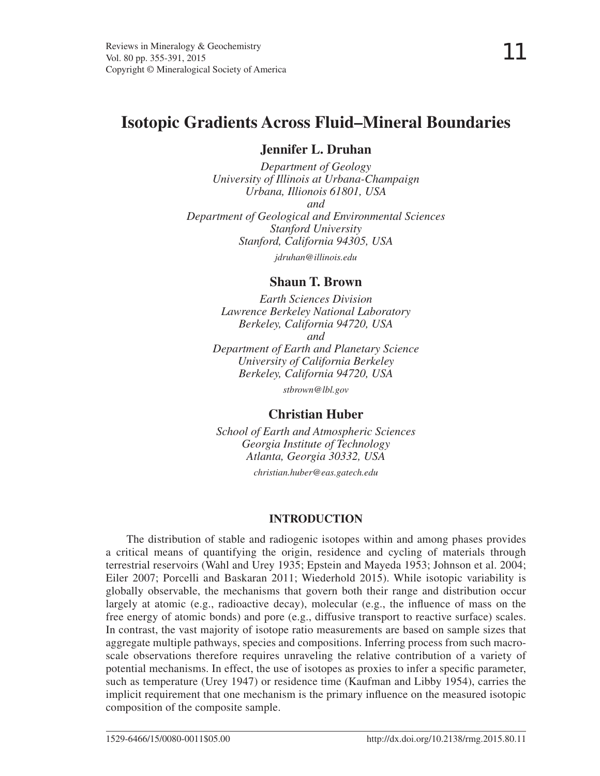# **Isotopic Gradients Across Fluid–Mineral Boundaries**

# **Jennifer L. Druhan**

*Department of Geology University of Illinois at Urbana-Champaign Urbana, Illionois 61801, USA and Department of Geological and Environmental Sciences Stanford University Stanford, California 94305, USA*

*jdruhan@illinois.edu*

## **Shaun T. Brown**

*Earth Sciences Division Lawrence Berkeley National Laboratory Berkeley, California 94720, USA and Department of Earth and Planetary Science University of California Berkeley Berkeley, California 94720, USA*

*stbrown@lbl.gov*

## **Christian Huber**

*School of Earth and Atmospheric Sciences Georgia Institute of Technology Atlanta, Georgia 30332, USA*

*christian.huber@eas.gatech.edu*

## **INTRODUCTION**

The distribution of stable and radiogenic isotopes within and among phases provides a critical means of quantifying the origin, residence and cycling of materials through terrestrial reservoirs (Wahl and Urey 1935; Epstein and Mayeda 1953; Johnson et al. 2004; Eiler 2007; Porcelli and Baskaran 2011; Wiederhold 2015). While isotopic variability is globally observable, the mechanisms that govern both their range and distribution occur largely at atomic (e.g., radioactive decay), molecular (e.g., the influence of mass on the free energy of atomic bonds) and pore (e.g., diffusive transport to reactive surface) scales. In contrast, the vast majority of isotope ratio measurements are based on sample sizes that aggregate multiple pathways, species and compositions. Inferring process from such macroscale observations therefore requires unraveling the relative contribution of a variety of potential mechanisms. In effect, the use of isotopes as proxies to infer a specific parameter, such as temperature (Urey 1947) or residence time (Kaufman and Libby 1954), carries the implicit requirement that one mechanism is the primary influence on the measured isotopic composition of the composite sample.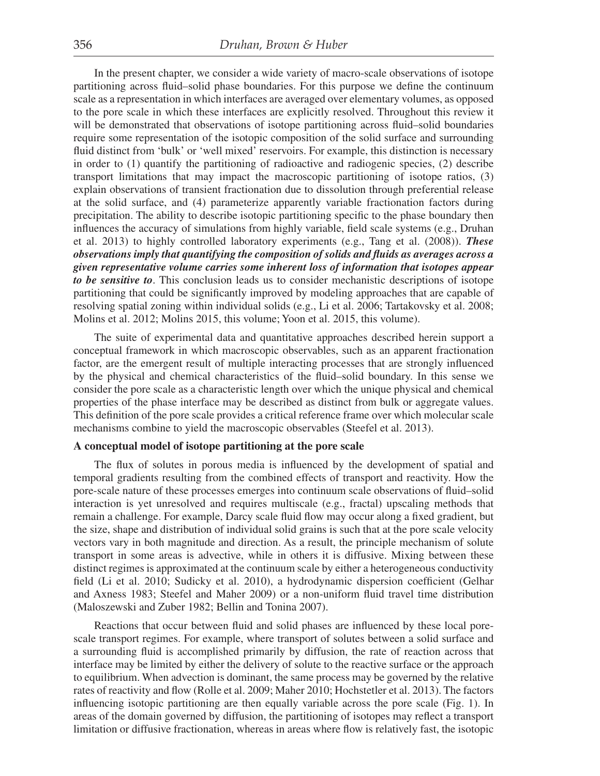In the present chapter, we consider a wide variety of macro-scale observations of isotope partitioning across fluid–solid phase boundaries. For this purpose we define the continuum scale as a representation in which interfaces are averaged over elementary volumes, as opposed to the pore scale in which these interfaces are explicitly resolved. Throughout this review it will be demonstrated that observations of isotope partitioning across fluid–solid boundaries require some representation of the isotopic composition of the solid surface and surrounding fluid distinct from 'bulk' or 'well mixed' reservoirs. For example, this distinction is necessary in order to (1) quantify the partitioning of radioactive and radiogenic species, (2) describe transport limitations that may impact the macroscopic partitioning of isotope ratios, (3) explain observations of transient fractionation due to dissolution through preferential release at the solid surface, and (4) parameterize apparently variable fractionation factors during precipitation. The ability to describe isotopic partitioning specific to the phase boundary then influences the accuracy of simulations from highly variable, field scale systems (e.g., Druhan et al. 2013) to highly controlled laboratory experiments (e.g., Tang et al. (2008)). *These observations imply that quantifying the composition of solids and fluids as averages across a given representative volume carries some inherent loss of information that isotopes appear to be sensitive to*. This conclusion leads us to consider mechanistic descriptions of isotope partitioning that could be significantly improved by modeling approaches that are capable of resolving spatial zoning within individual solids (e.g., Li et al. 2006; Tartakovsky et al. 2008; Molins et al. 2012; Molins 2015, this volume; Yoon et al. 2015, this volume).

The suite of experimental data and quantitative approaches described herein support a conceptual framework in which macroscopic observables, such as an apparent fractionation factor, are the emergent result of multiple interacting processes that are strongly influenced by the physical and chemical characteristics of the fluid–solid boundary. In this sense we consider the pore scale as a characteristic length over which the unique physical and chemical properties of the phase interface may be described as distinct from bulk or aggregate values. This definition of the pore scale provides a critical reference frame over which molecular scale mechanisms combine to yield the macroscopic observables (Steefel et al. 2013).

## **A conceptual model of isotope partitioning at the pore scale**

The flux of solutes in porous media is influenced by the development of spatial and temporal gradients resulting from the combined effects of transport and reactivity. How the pore-scale nature of these processes emerges into continuum scale observations of fluid–solid interaction is yet unresolved and requires multiscale (e.g., fractal) upscaling methods that remain a challenge. For example, Darcy scale fluid flow may occur along a fixed gradient, but the size, shape and distribution of individual solid grains is such that at the pore scale velocity vectors vary in both magnitude and direction. As a result, the principle mechanism of solute transport in some areas is advective, while in others it is diffusive. Mixing between these distinct regimes is approximated at the continuum scale by either a heterogeneous conductivity field (Li et al. 2010; Sudicky et al. 2010), a hydrodynamic dispersion coefficient (Gelhar and Axness 1983; Steefel and Maher 2009) or a non-uniform fluid travel time distribution (Maloszewski and Zuber 1982; Bellin and Tonina 2007).

Reactions that occur between fluid and solid phases are influenced by these local porescale transport regimes. For example, where transport of solutes between a solid surface and a surrounding fluid is accomplished primarily by diffusion, the rate of reaction across that interface may be limited by either the delivery of solute to the reactive surface or the approach to equilibrium. When advection is dominant, the same process may be governed by the relative rates of reactivity and flow (Rolle et al. 2009; Maher 2010; Hochstetler et al. 2013). The factors influencing isotopic partitioning are then equally variable across the pore scale (Fig. 1). In areas of the domain governed by diffusion, the partitioning of isotopes may reflect a transport limitation or diffusive fractionation, whereas in areas where flow is relatively fast, the isotopic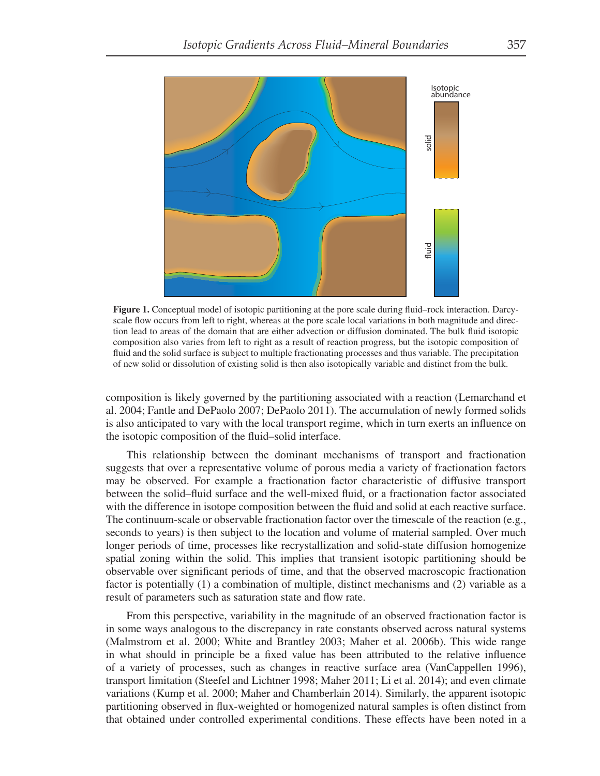

**Figure 1.** Conceptual model of isotopic partitioning at the pore scale during fluid–rock interaction. Darcyscale flow occurs from left to right, whereas at the pore scale local variations in both magnitude and direction lead to areas of the domain that are either advection or diffusion dominated. The bulk fluid isotopic composition also varies from left to right as a result of reaction progress, but the isotopic composition of fluid and the solid surface is subject to multiple fractionating processes and thus variable. The precipitation of new solid or dissolution of existing solid is then also isotopically variable and distinct from the bulk.

composition is likely governed by the partitioning associated with a reaction (Lemarchand et al. 2004; Fantle and DePaolo 2007; DePaolo 2011). The accumulation of newly formed solids is also anticipated to vary with the local transport regime, which in turn exerts an influence on the isotopic composition of the fluid–solid interface.

This relationship between the dominant mechanisms of transport and fractionation suggests that over a representative volume of porous media a variety of fractionation factors may be observed. For example a fractionation factor characteristic of diffusive transport between the solid–fluid surface and the well-mixed fluid, or a fractionation factor associated with the difference in isotope composition between the fluid and solid at each reactive surface. The continuum-scale or observable fractionation factor over the timescale of the reaction (e.g., seconds to years) is then subject to the location and volume of material sampled. Over much longer periods of time, processes like recrystallization and solid-state diffusion homogenize spatial zoning within the solid. This implies that transient isotopic partitioning should be observable over significant periods of time, and that the observed macroscopic fractionation factor is potentially (1) a combination of multiple, distinct mechanisms and (2) variable as a result of parameters such as saturation state and flow rate.

From this perspective, variability in the magnitude of an observed fractionation factor is in some ways analogous to the discrepancy in rate constants observed across natural systems (Malmstrom et al. 2000; White and Brantley 2003; Maher et al. 2006b). This wide range in what should in principle be a fixed value has been attributed to the relative influence of a variety of processes, such as changes in reactive surface area (VanCappellen 1996), transport limitation (Steefel and Lichtner 1998; Maher 2011; Li et al. 2014); and even climate variations (Kump et al. 2000; Maher and Chamberlain 2014). Similarly, the apparent isotopic partitioning observed in flux-weighted or homogenized natural samples is often distinct from that obtained under controlled experimental conditions. These effects have been noted in a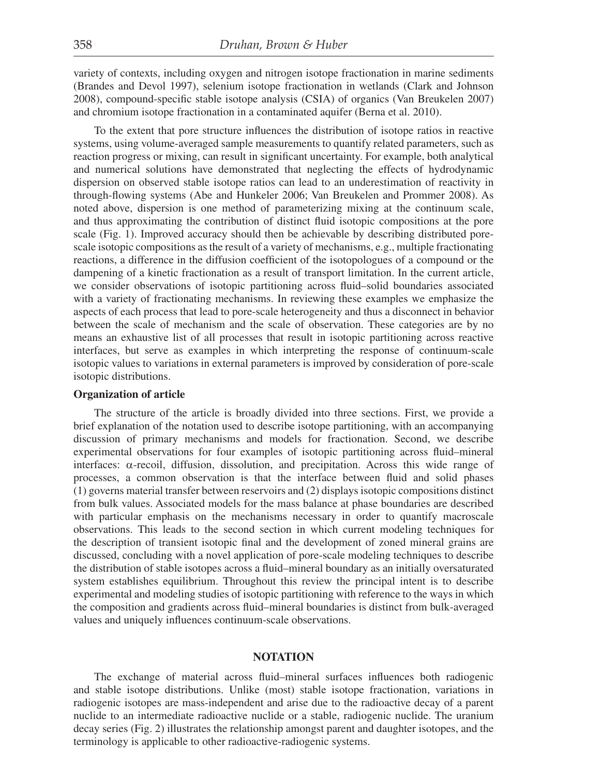variety of contexts, including oxygen and nitrogen isotope fractionation in marine sediments (Brandes and Devol 1997), selenium isotope fractionation in wetlands (Clark and Johnson 2008), compound-specifi c stable isotope analysis (CSIA) of organics (Van Breukelen 2007) and chromium isotope fractionation in a contaminated aquifer (Berna et al. 2010).

To the extent that pore structure influences the distribution of isotope ratios in reactive systems, using volume-averaged sample measurements to quantify related parameters, such as reaction progress or mixing, can result in significant uncertainty. For example, both analytical and numerical solutions have demonstrated that neglecting the effects of hydrodynamic dispersion on observed stable isotope ratios can lead to an underestimation of reactivity in through-flowing systems (Abe and Hunkeler 2006; Van Breukelen and Prommer 2008). As noted above, dispersion is one method of parameterizing mixing at the continuum scale, and thus approximating the contribution of distinct fluid isotopic compositions at the pore scale (Fig. 1). Improved accuracy should then be achievable by describing distributed porescale isotopic compositions as the result of a variety of mechanisms, e.g., multiple fractionating reactions, a difference in the diffusion coefficient of the isotopologues of a compound or the dampening of a kinetic fractionation as a result of transport limitation. In the current article, we consider observations of isotopic partitioning across fluid–solid boundaries associated with a variety of fractionating mechanisms. In reviewing these examples we emphasize the aspects of each process that lead to pore-scale heterogeneity and thus a disconnect in behavior between the scale of mechanism and the scale of observation. These categories are by no means an exhaustive list of all processes that result in isotopic partitioning across reactive interfaces, but serve as examples in which interpreting the response of continuum-scale isotopic values to variations in external parameters is improved by consideration of pore-scale isotopic distributions.

## **Organization of article**

The structure of the article is broadly divided into three sections. First, we provide a brief explanation of the notation used to describe isotope partitioning, with an accompanying discussion of primary mechanisms and models for fractionation. Second, we describe experimental observations for four examples of isotopic partitioning across fluid-mineral interfaces:  $\alpha$ -recoil, diffusion, dissolution, and precipitation. Across this wide range of processes, a common observation is that the interface between fluid and solid phases (1) governs material transfer between reservoirs and (2) displays isotopic compositions distinct from bulk values. Associated models for the mass balance at phase boundaries are described with particular emphasis on the mechanisms necessary in order to quantify macroscale observations. This leads to the second section in which current modeling techniques for the description of transient isotopic final and the development of zoned mineral grains are discussed, concluding with a novel application of pore-scale modeling techniques to describe the distribution of stable isotopes across a fluid–mineral boundary as an initially oversaturated system establishes equilibrium. Throughout this review the principal intent is to describe experimental and modeling studies of isotopic partitioning with reference to the ways in which the composition and gradients across fluid–mineral boundaries is distinct from bulk-averaged values and uniquely influences continuum-scale observations.

## **NOTATION**

The exchange of material across fluid–mineral surfaces influences both radiogenic and stable isotope distributions. Unlike (most) stable isotope fractionation, variations in radiogenic isotopes are mass-independent and arise due to the radioactive decay of a parent nuclide to an intermediate radioactive nuclide or a stable, radiogenic nuclide. The uranium decay series (Fig. 2) illustrates the relationship amongst parent and daughter isotopes, and the terminology is applicable to other radioactive-radiogenic systems.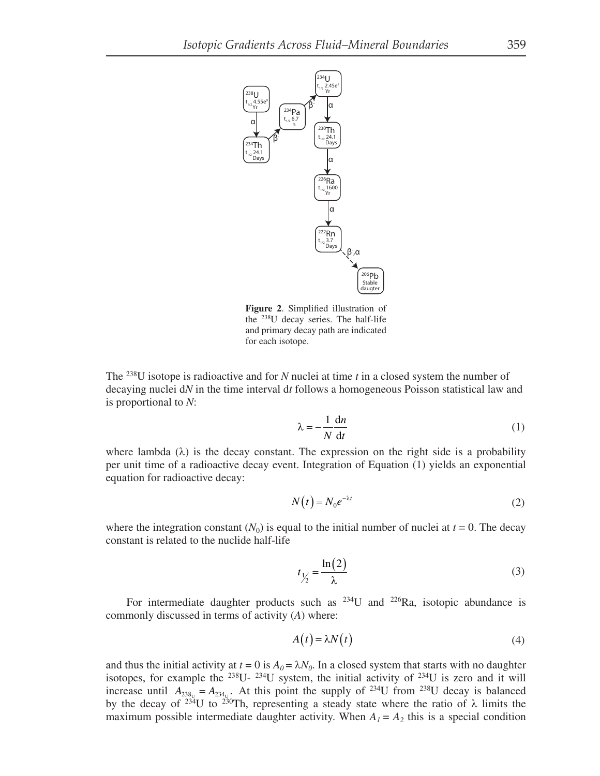

Figure 2. Simplified illustration of the 238U decay series. The half-life and primary decay path are indicated for each isotope.

The 238U isotope is radioactive and for *N* nuclei at time *t* in a closed system the number of decaying nuclei d*N* in the time interval d*t* follows a homogeneous Poisson statistical law and is proportional to *N*:

$$
\lambda = -\frac{1}{N} \frac{dn}{dt} \tag{1}
$$

where lambda  $(\lambda)$  is the decay constant. The expression on the right side is a probability per unit time of a radioactive decay event. Integration of Equation (1) yields an exponential equation for radioactive decay:

$$
N(t) = N_0 e^{-\lambda t} \tag{2}
$$

where the integration constant  $(N_0)$  is equal to the initial number of nuclei at  $t = 0$ . The decay constant is related to the nuclide half-life

$$
t_{1/2} = \frac{\ln(2)}{\lambda} \tag{3}
$$

For intermediate daughter products such as  $^{234}$ U and  $^{226}$ Ra, isotopic abundance is commonly discussed in terms of activity (*A*) where:

$$
A(t) = \lambda N(t) \tag{4}
$$

and thus the initial activity at  $t = 0$  is  $A_0 = \lambda N_0$ . In a closed system that starts with no daughter isotopes, for example the <sup>238</sup>U- <sup>234</sup>U system, the initial activity of <sup>234</sup>U is zero and it will increase until  $A_{238_{\text{U}}} = A_{234_{\text{U}}}$ . At this point the supply of <sup>234</sup>U from <sup>238</sup>U decay is balanced by the decay of <sup>234</sup>U to <sup>230</sup>Th, representing a steady state where the ratio of  $\lambda$  limits the maximum possible intermediate daughter activity. When  $A_1 = A_2$  this is a special condition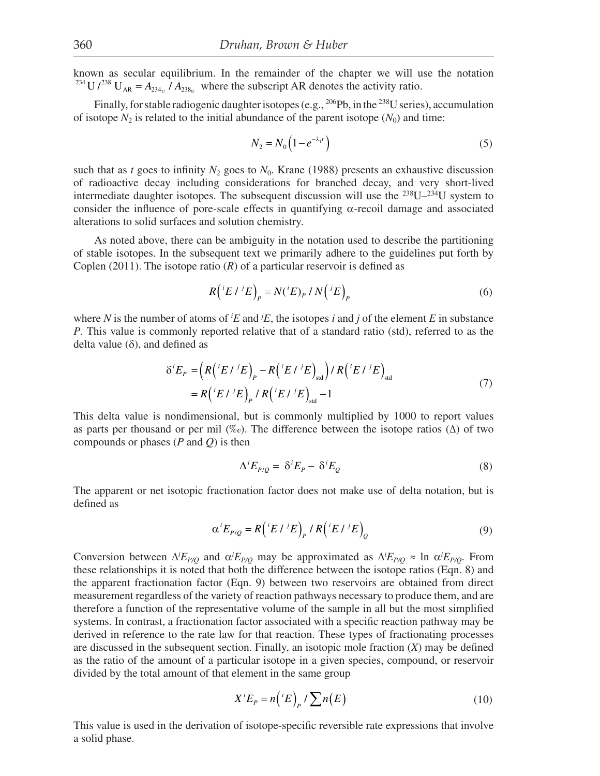known as secular equilibrium. In the remainder of the chapter we will use the notation <sup>234</sup> U  $\ell^{238}$  U<sub>AR</sub> =  $A_{234_U}$  /  $A_{238_U}$  where the subscript AR denotes the activity ratio.

Finally, for stable radiogenic daughter isotopes (e.g.,  $^{206}Pb$ , in the  $^{238}U$  series), accumulation of isotope  $N_2$  is related to the initial abundance of the parent isotope  $(N_0)$  and time:

$$
N_2 = N_0 \left( 1 - e^{-\lambda_1 t} \right) \tag{5}
$$

such that as *t* goes to infinity  $N_2$  goes to  $N_0$ . Krane (1988) presents an exhaustive discussion of radioactive decay including considerations for branched decay, and very short-lived intermediate daughter isotopes. The subsequent discussion will use the  $^{238}U-^{234}U$  system to consider the influence of pore-scale effects in quantifying  $\alpha$ -recoil damage and associated alterations to solid surfaces and solution chemistry.

As noted above, there can be ambiguity in the notation used to describe the partitioning of stable isotopes. In the subsequent text we primarily adhere to the guidelines put forth by Coplen (2011). The isotope ratio  $(R)$  of a particular reservoir is defined as

$$
R(^{i}E / {}^{j}E)_{P} = N(^{i}E)_{P} / N(^{j}E)_{P}
$$
\n
$$
(6)
$$

where *N* is the number of atoms of *iE* and *jE*, the isotopes *i* and *j* of the element *E* in substance *P*. This value is commonly reported relative that of a standard ratio (std), referred to as the delta value  $(\delta)$ , and defined as

$$
\delta^{i}E_{p} = \left(R\left(\left(iE\right)^{j}E\right)_{p} - R\left(\left(iE\right)^{j}E\right)_{\text{std}}\right) / R\left(\left(iE\right)^{j}E\right)_{\text{std}}
$$
\n
$$
= R\left(\left(iE\right)^{j}E\right)_{p} / R\left(\left(iE\right)^{j}E\right)_{\text{std}} - 1
$$
\n(7)

This delta value is nondimensional, but is commonly multiplied by 1000 to report values as parts per thousand or per mil (‰). The difference between the isotope ratios ( $\Delta$ ) of two compounds or phases (*P* and *Q*) is then

$$
\Delta^i E_{P/Q} = \delta^i E_P - \delta^i E_Q \tag{8}
$$

The apparent or net isotopic fractionation factor does not make use of delta notation, but is defined as

$$
\alpha^{i} E_{P/Q} = R \left( {}^{i}E / {}^{j}E \right)_{P} / R \left( {}^{i}E / {}^{j}E \right)_{Q}
$$
 (9)

Conversion between  $\Delta E_{P/Q}$  and  $\alpha E_{P/Q}$  may be approximated as  $\Delta E_{P/Q} \approx \ln \alpha E_{P/Q}$ . From these relationships it is noted that both the difference between the isotope ratios (Eqn. 8) and the apparent fractionation factor (Eqn. 9) between two reservoirs are obtained from direct measurement regardless of the variety of reaction pathways necessary to produce them, and are therefore a function of the representative volume of the sample in all but the most simplified systems. In contrast, a fractionation factor associated with a specific reaction pathway may be derived in reference to the rate law for that reaction. These types of fractionating processes are discussed in the subsequent section. Finally, an isotopic mole fraction  $(X)$  may be defined as the ratio of the amount of a particular isotope in a given species, compound, or reservoir divided by the total amount of that element in the same group

$$
X^{i}E_{P} = n\left(\,^{i}E\right)_{P} / \sum n(E) \tag{10}
$$

This value is used in the derivation of isotope-specific reversible rate expressions that involve a solid phase.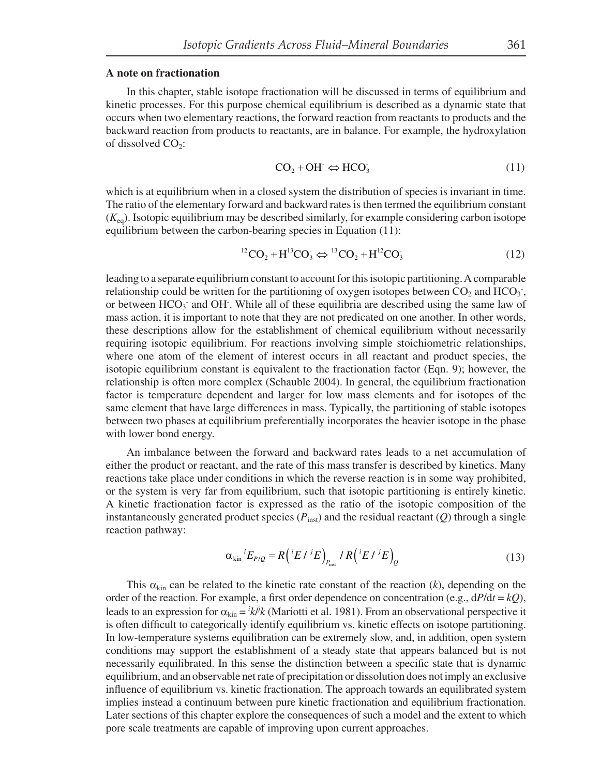#### **A note on fractionation**

In this chapter, stable isotope fractionation will be discussed in terms of equilibrium and kinetic processes. For this purpose chemical equilibrium is described as a dynamic state that occurs when two elementary reactions, the forward reaction from reactants to products and the backward reaction from products to reactants, are in balance. For example, the hydroxylation of dissolved  $CO_2$ :

$$
CO_2 + OH^{\cdot} \Leftrightarrow HCO_3^{\cdot} \tag{11}
$$

which is at equilibrium when in a closed system the distribution of species is invariant in time. The ratio of the elementary forward and backward rates is then termed the equilibrium constant  $(K_{eq})$ . Isotopic equilibrium may be described similarly, for example considering carbon isotope equilibrium between the carbon-bearing species in Equation (11):

$$
{}^{12}CO_2 + H^{13}CO_3 \Leftrightarrow {}^{13}CO_2 + H^{12}CO_3 \tag{12}
$$

leading to a separate equilibrium constant to account for this isotopic partitioning. A comparable relationship could be written for the partitioning of oxygen isotopes between  $CO_2$  and  $HCO_3$ , or between  $HCO<sub>3</sub>$  and OH. While all of these equilibria are described using the same law of mass action, it is important to note that they are not predicated on one another. In other words, these descriptions allow for the establishment of chemical equilibrium without necessarily requiring isotopic equilibrium. For reactions involving simple stoichiometric relationships, where one atom of the element of interest occurs in all reactant and product species, the isotopic equilibrium constant is equivalent to the fractionation factor (Eqn. 9); however, the relationship is often more complex (Schauble 2004). In general, the equilibrium fractionation factor is temperature dependent and larger for low mass elements and for isotopes of the same element that have large differences in mass. Typically, the partitioning of stable isotopes between two phases at equilibrium preferentially incorporates the heavier isotope in the phase with lower bond energy.

An imbalance between the forward and backward rates leads to a net accumulation of either the product or reactant, and the rate of this mass transfer is described by kinetics. Many reactions take place under conditions in which the reverse reaction is in some way prohibited, or the system is very far from equilibrium, such that isotopic partitioning is entirely kinetic. A kinetic fractionation factor is expressed as the ratio of the isotopic composition of the instantaneously generated product species  $(P_{inst})$  and the residual reactant  $(Q)$  through a single reaction pathway:

$$
\alpha_{\text{kin}}^{i} E_{P/Q} = R \left( \left( E / \left| E \right| \right)_{P_{\text{inst}}} / R \left( \left| E / \left| E \right| \right)_{Q} \right) \tag{13}
$$

This  $\alpha_{\text{kin}}$  can be related to the kinetic rate constant of the reaction (*k*), depending on the order of the reaction. For example, a first order dependence on concentration (e.g.,  $dP/dt = kQ$ ), leads to an expression for  $\alpha_{\rm kin} = i k / j k$  (Mariotti et al. 1981). From an observational perspective it is often difficult to categorically identify equilibrium vs. kinetic effects on isotope partitioning. In low-temperature systems equilibration can be extremely slow, and, in addition, open system conditions may support the establishment of a steady state that appears balanced but is not necessarily equilibrated. In this sense the distinction between a specific state that is dynamic equilibrium, and an observable net rate of precipitation or dissolution does not imply an exclusive influence of equilibrium vs. kinetic fractionation. The approach towards an equilibrated system implies instead a continuum between pure kinetic fractionation and equilibrium fractionation. Later sections of this chapter explore the consequences of such a model and the extent to which pore scale treatments are capable of improving upon current approaches.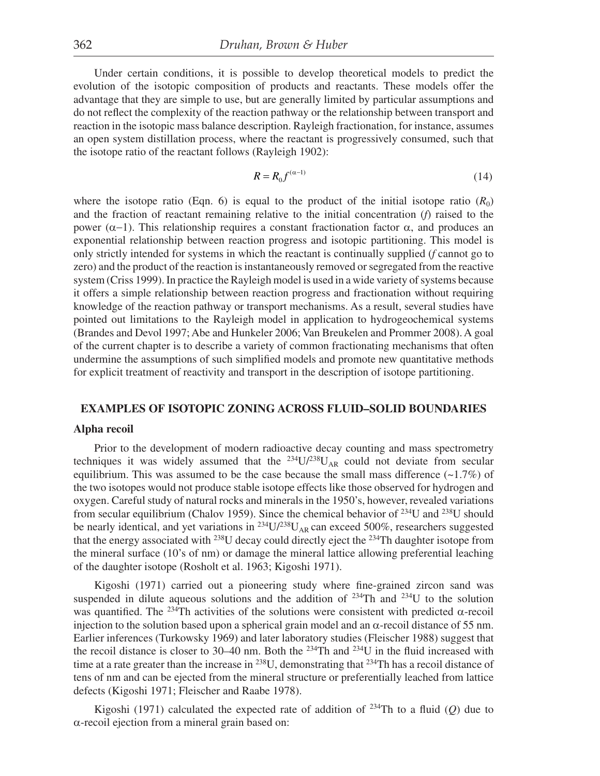Under certain conditions, it is possible to develop theoretical models to predict the evolution of the isotopic composition of products and reactants. These models offer the advantage that they are simple to use, but are generally limited by particular assumptions and do not reflect the complexity of the reaction pathway or the relationship between transport and reaction in the isotopic mass balance description. Rayleigh fractionation, for instance, assumes an open system distillation process, where the reactant is progressively consumed, such that the isotope ratio of the reactant follows (Rayleigh 1902):

$$
R = R_0 f^{(\alpha - 1)} \tag{14}
$$

where the isotope ratio (Eqn. 6) is equal to the product of the initial isotope ratio  $(R_0)$ and the fraction of reactant remaining relative to the initial concentration (*f*) raised to the power ( $\alpha$ -1). This relationship requires a constant fractionation factor  $\alpha$ , and produces an exponential relationship between reaction progress and isotopic partitioning. This model is only strictly intended for systems in which the reactant is continually supplied (*f* cannot go to zero) and the product of the reaction is instantaneously removed or segregated from the reactive system (Criss 1999). In practice the Rayleigh model is used in a wide variety of systems because it offers a simple relationship between reaction progress and fractionation without requiring knowledge of the reaction pathway or transport mechanisms. As a result, several studies have pointed out limitations to the Rayleigh model in application to hydrogeochemical systems (Brandes and Devol 1997; Abe and Hunkeler 2006; Van Breukelen and Prommer 2008). A goal of the current chapter is to describe a variety of common fractionating mechanisms that often undermine the assumptions of such simplified models and promote new quantitative methods for explicit treatment of reactivity and transport in the description of isotope partitioning.

## **EXAMPLES OF ISOTOPIC ZONING ACROSS FLUID–SOLID BOUNDARIES**

#### **Alpha recoil**

Prior to the development of modern radioactive decay counting and mass spectrometry techniques it was widely assumed that the  $^{234}U/^{238}U_{AR}$  could not deviate from secular equilibrium. This was assumed to be the case because the small mass difference  $(\sim 1.7\%)$  of the two isotopes would not produce stable isotope effects like those observed for hydrogen and oxygen. Careful study of natural rocks and minerals in the 1950's, however, revealed variations from secular equilibrium (Chalov 1959). Since the chemical behavior of  $^{234}$ U and  $^{238}$ U should be nearly identical, and yet variations in  $^{234}U/^{238}U_{AR}$  can exceed 500%, researchers suggested that the energy associated with  $^{238}$ U decay could directly eject the  $^{234}$ Th daughter isotope from the mineral surface (10's of nm) or damage the mineral lattice allowing preferential leaching of the daughter isotope (Rosholt et al. 1963; Kigoshi 1971).

Kigoshi (1971) carried out a pioneering study where fine-grained zircon sand was suspended in dilute aqueous solutions and the addition of  $^{234}Th$  and  $^{234}U$  to the solution was quantified. The <sup>234</sup>Th activities of the solutions were consistent with predicted  $\alpha$ -recoil injection to the solution based upon a spherical grain model and an  $\alpha$ -recoil distance of 55 nm. Earlier inferences (Turkowsky 1969) and later laboratory studies (Fleischer 1988) suggest that the recoil distance is closer to 30–40 nm. Both the  $^{234}$ Th and  $^{234}$ U in the fluid increased with time at a rate greater than the increase in <sup>238</sup>U, demonstrating that <sup>234</sup>Th has a recoil distance of tens of nm and can be ejected from the mineral structure or preferentially leached from lattice defects (Kigoshi 1971; Fleischer and Raabe 1978).

Kigoshi (1971) calculated the expected rate of addition of <sup>234</sup>Th to a fluid (*Q*) due to  $\alpha$ -recoil ejection from a mineral grain based on: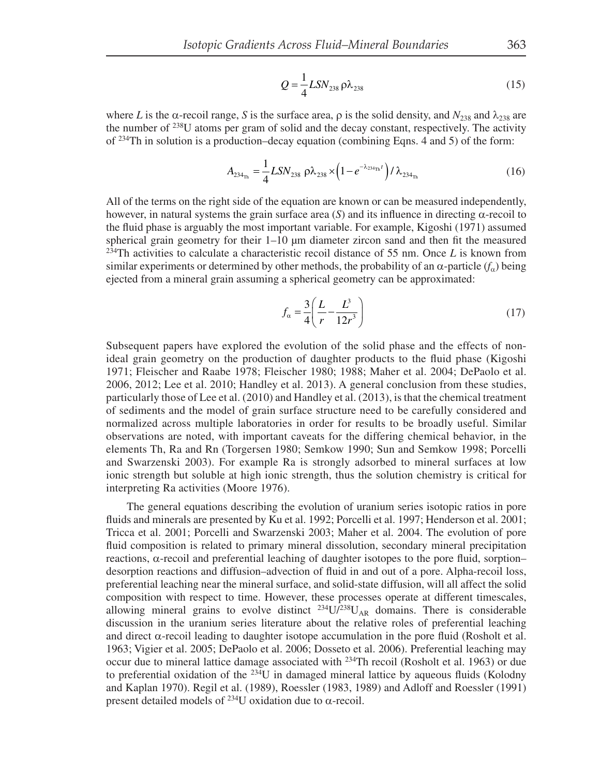$$
Q = \frac{1}{4} LSN_{238} \rho \lambda_{238}
$$
 (15)

where *L* is the  $\alpha$ -recoil range, *S* is the surface area,  $\rho$  is the solid density, and  $N_{238}$  and  $\lambda_{238}$  are the number of 238U atoms per gram of solid and the decay constant, respectively. The activity of 234Th in solution is a production–decay equation (combining Eqns. 4 and 5) of the form:

$$
A_{234_{\text{Th}}} = \frac{1}{4} L S N_{238} \rho \lambda_{238} \times \left( 1 - e^{-\lambda_{234_{\text{Th}}}t} \right) / \lambda_{234_{\text{Th}}} \tag{16}
$$

All of the terms on the right side of the equation are known or can be measured independently, however, in natural systems the grain surface area  $(S)$  and its influence in directing  $\alpha$ -recoil to the fluid phase is arguably the most important variable. For example, Kigoshi (1971) assumed spherical grain geometry for their  $1-10$  μm diameter zircon sand and then fit the measured 234Th activities to calculate a characteristic recoil distance of 55 nm. Once *L* is known from similar experiments or determined by other methods, the probability of an  $\alpha$ -particle ( $f_{\alpha}$ ) being ejected from a mineral grain assuming a spherical geometry can be approximated:

$$
f_{\alpha} = \frac{3}{4} \left( \frac{L}{r} - \frac{L^3}{12r^3} \right) \tag{17}
$$

Subsequent papers have explored the evolution of the solid phase and the effects of nonideal grain geometry on the production of daughter products to the fluid phase (Kigoshi 1971; Fleischer and Raabe 1978; Fleischer 1980; 1988; Maher et al. 2004; DePaolo et al. 2006, 2012; Lee et al. 2010; Handley et al. 2013). A general conclusion from these studies, particularly those of Lee et al. (2010) and Handley et al. (2013), is that the chemical treatment of sediments and the model of grain surface structure need to be carefully considered and normalized across multiple laboratories in order for results to be broadly useful. Similar observations are noted, with important caveats for the differing chemical behavior, in the elements Th, Ra and Rn (Torgersen 1980; Semkow 1990; Sun and Semkow 1998; Porcelli and Swarzenski 2003). For example Ra is strongly adsorbed to mineral surfaces at low ionic strength but soluble at high ionic strength, thus the solution chemistry is critical for interpreting Ra activities (Moore 1976).

The general equations describing the evolution of uranium series isotopic ratios in pore fluids and minerals are presented by Ku et al. 1992; Porcelli et al. 1997; Henderson et al. 2001; Tricca et al. 2001; Porcelli and Swarzenski 2003; Maher et al. 2004. The evolution of pore fluid composition is related to primary mineral dissolution, secondary mineral precipitation reactions,  $\alpha$ -recoil and preferential leaching of daughter isotopes to the pore fluid, sorption– desorption reactions and diffusion–advection of fluid in and out of a pore. Alpha-recoil loss, preferential leaching near the mineral surface, and solid-state diffusion, will all affect the solid composition with respect to time. However, these processes operate at different timescales, allowing mineral grains to evolve distinct  $^{234}U/^{238}U_{AR}$  domains. There is considerable discussion in the uranium series literature about the relative roles of preferential leaching and direct  $\alpha$ -recoil leading to daughter isotope accumulation in the pore fluid (Rosholt et al. 1963; Vigier et al. 2005; DePaolo et al. 2006; Dosseto et al. 2006). Preferential leaching may occur due to mineral lattice damage associated with <sup>234</sup>Th recoil (Rosholt et al. 1963) or due to preferential oxidation of the  $234$ U in damaged mineral lattice by aqueous fluids (Kolodny and Kaplan 1970). Regil et al. (1989), Roessler (1983, 1989) and Adloff and Roessler (1991) present detailed models of <sup>234</sup>U oxidation due to  $\alpha$ -recoil.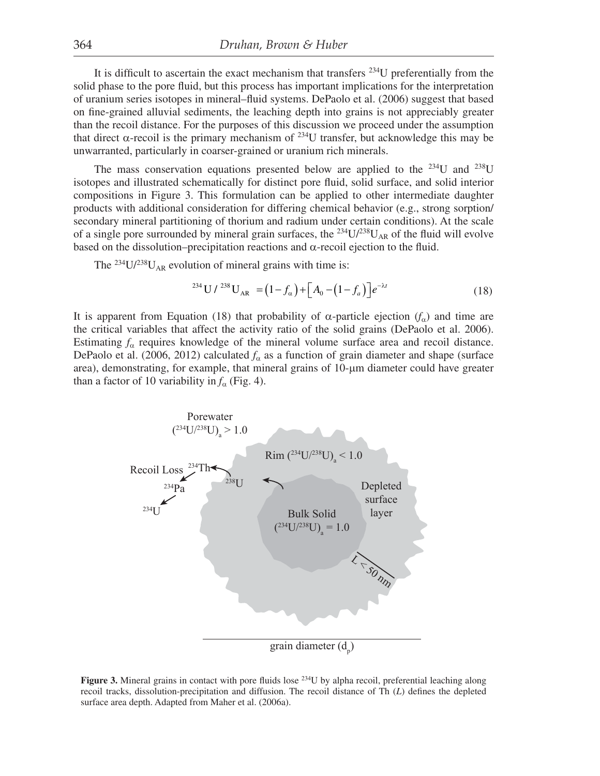It is difficult to ascertain the exact mechanism that transfers  $^{234}U$  preferentially from the solid phase to the pore fluid, but this process has important implications for the interpretation of uranium series isotopes in mineral–fluid systems. DePaolo et al. (2006) suggest that based on fine-grained alluvial sediments, the leaching depth into grains is not appreciably greater than the recoil distance. For the purposes of this discussion we proceed under the assumption that direct  $\alpha$ -recoil is the primary mechanism of <sup>234</sup>U transfer, but acknowledge this may be unwarranted, particularly in coarser-grained or uranium rich minerals.

The mass conservation equations presented below are applied to the  $^{234}$ U and  $^{238}$ U isotopes and illustrated schematically for distinct pore fluid, solid surface, and solid interior compositions in Figure 3. This formulation can be applied to other intermediate daughter products with additional consideration for differing chemical behavior (e.g., strong sorption/ secondary mineral partitioning of thorium and radium under certain conditions). At the scale of a single pore surrounded by mineral grain surfaces, the <sup>234</sup>U/<sup>238</sup>U<sub>AR</sub> of the fluid will evolve based on the dissolution–precipitation reactions and  $\alpha$ -recoil ejection to the fluid.

The  $^{234}U/^{238}U_{AR}$  evolution of mineral grains with time is:

$$
^{234}\text{U}/^{238}\text{U}_{\text{AR}} = (1 - f_{\alpha}) + [A_0 - (1 - f_{\alpha})]e^{-\lambda t}
$$
 (18)

It is apparent from Equation (18) that probability of  $\alpha$ -particle ejection ( $f_{\alpha}$ ) and time are the critical variables that affect the activity ratio of the solid grains (DePaolo et al. 2006). Estimating  $f_a$  requires knowledge of the mineral volume surface area and recoil distance. DePaolo et al. (2006, 2012) calculated  $f_\alpha$  as a function of grain diameter and shape (surface area), demonstrating, for example, that mineral grains of 10-µm diameter could have greater than a factor of 10 variability in  $f_\alpha$  (Fig. 4).



**Figure 3.** Mineral grains in contact with pore fluids lose <sup>234</sup>U by alpha recoil, preferential leaching along recoil tracks, dissolution-precipitation and diffusion. The recoil distance of Th (*L*) defines the depleted surface area depth. Adapted from Maher et al. (2006a).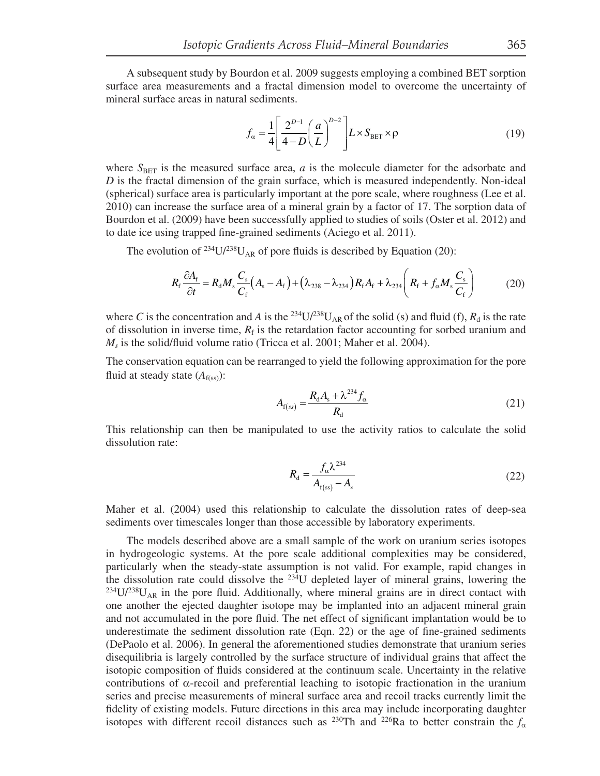A subsequent study by Bourdon et al. 2009 suggests employing a combined BET sorption surface area measurements and a fractal dimension model to overcome the uncertainty of mineral surface areas in natural sediments.

$$
f_{\alpha} = \frac{1}{4} \left[ \frac{2^{D-1}}{4-D} \left( \frac{a}{L} \right)^{D-2} \right] L \times S_{\text{BET}} \times \rho \tag{19}
$$

where  $S<sub>BET</sub>$  is the measured surface area, *a* is the molecule diameter for the adsorbate and *D* is the fractal dimension of the grain surface, which is measured independently. Non-ideal (spherical) surface area is particularly important at the pore scale, where roughness (Lee et al. 2010) can increase the surface area of a mineral grain by a factor of 17. The sorption data of Bourdon et al. (2009) have been successfully applied to studies of soils (Oster et al. 2012) and to date ice using trapped fine-grained sediments (Aciego et al. 2011).

The evolution of <sup>234</sup>U/<sup>238</sup>U<sub>AR</sub> of pore fluids is described by Equation (20):

$$
R_{\rm f} \frac{\partial A_{\rm f}}{\partial t} = R_{\rm d} M_{\rm s} \frac{C_{\rm s}}{C_{\rm f}} \left( A_{\rm s} - A_{\rm f} \right) + \left( \lambda_{238} - \lambda_{234} \right) R_{\rm f} A_{\rm f} + \lambda_{234} \left( R_{\rm f} + f_{\alpha} M_{\rm s} \frac{C_{\rm s}}{C_{\rm f}} \right) \tag{20}
$$

where *C* is the concentration and *A* is the <sup>234</sup>U/<sup>238</sup>U<sub>AR</sub> of the solid (s) and fluid (f),  $R_d$  is the rate of dissolution in inverse time,  $R_f$  is the retardation factor accounting for sorbed uranium and  $M<sub>s</sub>$  is the solid/fluid volume ratio (Tricca et al. 2001; Maher et al. 2004).

The conservation equation can be rearranged to yield the following approximation for the pore fluid at steady state  $(A<sub>f(ss)</sub>)$ :

$$
A_{\mathbf{f}(ss)} = \frac{R_{\mathbf{d}}A_{\mathbf{s}} + \lambda^{234}f_{\alpha}}{R_{\mathbf{d}}}
$$
\n(21)

This relationship can then be manipulated to use the activity ratios to calculate the solid dissolution rate:

$$
R_{\rm d} = \frac{f_{\alpha} \lambda^{234}}{A_{\rm f(s)} - A_{\rm s}}\tag{22}
$$

Maher et al. (2004) used this relationship to calculate the dissolution rates of deep-sea sediments over timescales longer than those accessible by laboratory experiments.

The models described above are a small sample of the work on uranium series isotopes in hydrogeologic systems. At the pore scale additional complexities may be considered, particularly when the steady-state assumption is not valid. For example, rapid changes in the dissolution rate could dissolve the  $234$ U depleted layer of mineral grains, lowering the  $^{234}U/^{238}U_{AR}$  in the pore fluid. Additionally, where mineral grains are in direct contact with one another the ejected daughter isotope may be implanted into an adjacent mineral grain and not accumulated in the pore fluid. The net effect of significant implantation would be to underestimate the sediment dissolution rate  $(Eqn. 22)$  or the age of fine-grained sediments (DePaolo et al. 2006). In general the aforementioned studies demonstrate that uranium series disequilibria is largely controlled by the surface structure of individual grains that affect the isotopic composition of fluids considered at the continuum scale. Uncertainty in the relative contributions of  $\alpha$ -recoil and preferential leaching to isotopic fractionation in the uranium series and precise measurements of mineral surface area and recoil tracks currently limit the fidelity of existing models. Future directions in this area may include incorporating daughter isotopes with different recoil distances such as <sup>230</sup>Th and <sup>226</sup>Ra to better constrain the  $f_{\alpha}$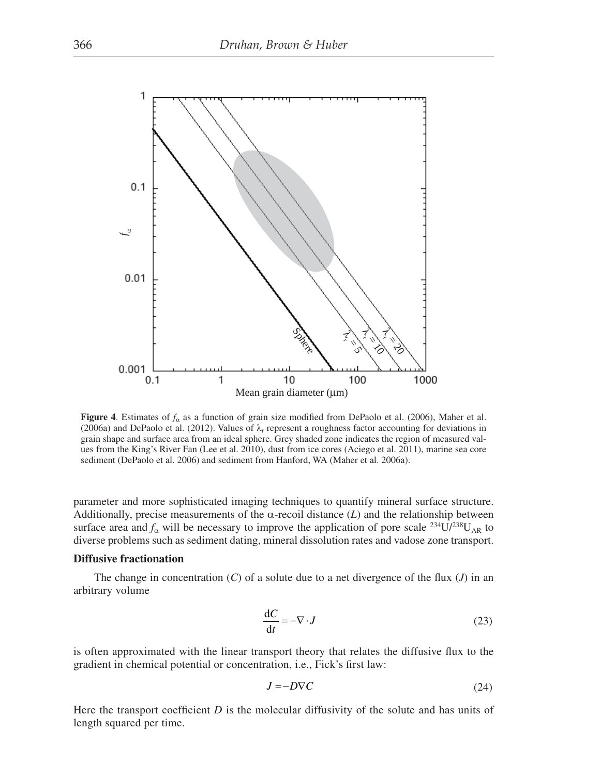

**Figure 4.** Estimates of  $f_a$  as a function of grain size modified from DePaolo et al. (2006), Maher et al. (2006a) and DePaolo et al. (2012). Values of  $\lambda_r$  represent a roughness factor accounting for deviations in grain shape and surface area from an ideal sphere. Grey shaded zone indicates the region of measured values from the King's River Fan (Lee et al. 2010), dust from ice cores (Aciego et al. 2011), marine sea core sediment (DePaolo et al. 2006) and sediment from Hanford, WA (Maher et al. 2006a).

parameter and more sophisticated imaging techniques to quantify mineral surface structure. Additionally, precise measurements of the  $\alpha$ -recoil distance (*L*) and the relationship between surface area and  $f_{\alpha}$  will be necessary to improve the application of pore scale <sup>234</sup>U/<sup>238</sup>U<sub>AR</sub> to diverse problems such as sediment dating, mineral dissolution rates and vadose zone transport.

#### **Diffusive fractionation**

The change in concentration  $(C)$  of a solute due to a net divergence of the flux  $(J)$  in an arbitrary volume

$$
\frac{\mathrm{d}C}{\mathrm{d}t} = -\nabla \cdot J \tag{23}
$$

is often approximated with the linear transport theory that relates the diffusive flux to the gradient in chemical potential or concentration, i.e., Fick's first law:

$$
J = -D\nabla C \tag{24}
$$

Here the transport coefficient  $D$  is the molecular diffusivity of the solute and has units of length squared per time.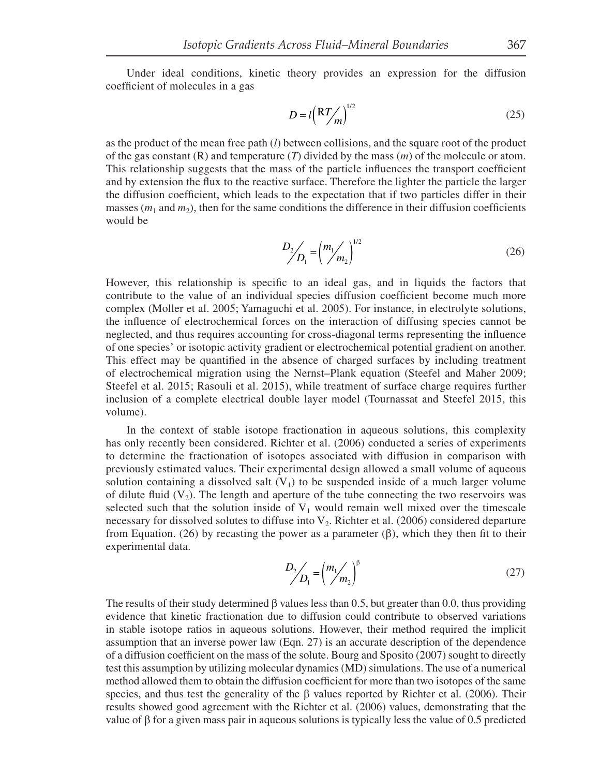Under ideal conditions, kinetic theory provides an expression for the diffusion coefficient of molecules in a gas

$$
D = l \left( \mathbf{R} \mathcal{I}_{m} \right)^{1/2} \tag{25}
$$

as the product of the mean free path (*l*) between collisions, and the square root of the product of the gas constant (R) and temperature (*T*) divided by the mass (*m*) of the molecule or atom. This relationship suggests that the mass of the particle influences the transport coefficient and by extension the flux to the reactive surface. Therefore the lighter the particle the larger the diffusion coefficient, which leads to the expectation that if two particles differ in their masses  $(m_1$  and  $m_2)$ , then for the same conditions the difference in their diffusion coefficients would be

$$
D_2 / D_1 = \left(\frac{m_1}{m_2}\right)^{1/2} \tag{26}
$$

However, this relationship is specific to an ideal gas, and in liquids the factors that contribute to the value of an individual species diffusion coefficient become much more complex (Moller et al. 2005; Yamaguchi et al. 2005). For instance, in electrolyte solutions, the influence of electrochemical forces on the interaction of diffusing species cannot be neglected, and thus requires accounting for cross-diagonal terms representing the influence of one species' or isotopic activity gradient or electrochemical potential gradient on another. This effect may be quantified in the absence of charged surfaces by including treatment of electrochemical migration using the Nernst–Plank equation (Steefel and Maher 2009; Steefel et al. 2015; Rasouli et al. 2015), while treatment of surface charge requires further inclusion of a complete electrical double layer model (Tournassat and Steefel 2015, this volume).

In the context of stable isotope fractionation in aqueous solutions, this complexity has only recently been considered. Richter et al. (2006) conducted a series of experiments to determine the fractionation of isotopes associated with diffusion in comparison with previously estimated values. Their experimental design allowed a small volume of aqueous solution containing a dissolved salt  $(V_1)$  to be suspended inside of a much larger volume of dilute fluid  $(V_2)$ . The length and aperture of the tube connecting the two reservoirs was selected such that the solution inside of  $V_1$  would remain well mixed over the timescale necessary for dissolved solutes to diffuse into  $V_2$ . Richter et al. (2006) considered departure from Equation. (26) by recasting the power as a parameter  $(\beta)$ , which they then fit to their experimental data.

$$
D_2 / D_1 = \left(\frac{m_1}{m_2}\right)^{\beta} \tag{27}
$$

The results of their study determined  $\beta$  values less than 0.5, but greater than 0.0, thus providing evidence that kinetic fractionation due to diffusion could contribute to observed variations in stable isotope ratios in aqueous solutions. However, their method required the implicit assumption that an inverse power law (Eqn. 27) is an accurate description of the dependence of a diffusion coefficient on the mass of the solute. Bourg and Sposito (2007) sought to directly test this assumption by utilizing molecular dynamics (MD) simulations. The use of a numerical method allowed them to obtain the diffusion coefficient for more than two isotopes of the same species, and thus test the generality of the  $\beta$  values reported by Richter et al. (2006). Their results showed good agreement with the Richter et al. (2006) values, demonstrating that the value of  $\beta$  for a given mass pair in aqueous solutions is typically less the value of 0.5 predicted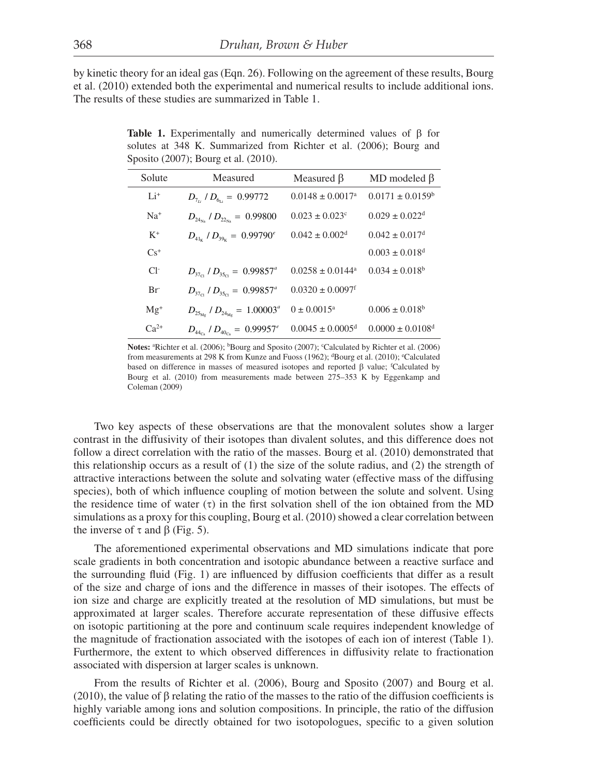by kinetic theory for an ideal gas (Eqn. 26). Following on the agreement of these results, Bourg et al. (2010) extended both the experimental and numerical results to include additional ions. The results of these studies are summarized in Table 1.

| Solute    | Measured                                                             | Measured $\beta$                 | MD modeled $\beta$               |  |
|-----------|----------------------------------------------------------------------|----------------------------------|----------------------------------|--|
| $Li+$     | $D_{7_H}/D_{6_H} = 0.99772$                                          | $0.0148 \pm 0.0017$ <sup>a</sup> | $0.0171 \pm 0.0159^b$            |  |
| $Na+$     | $D_{24_{N_0}}$ / $D_{22_{N_0}} = 0.99800$                            | $0.023 + 0.023^{\circ}$          | $0.029 \pm 0.022$ <sup>d</sup>   |  |
| $K^+$     | $D_{41_{\kappa}}$ / $D_{39_{\kappa}} = 0.99790^e$                    | $0.042 \pm 0.002$ <sup>d</sup>   | $0.042 \pm 0.017$ <sup>d</sup>   |  |
| $Cs+$     |                                                                      |                                  | $0.003 \pm 0.018$ <sup>d</sup>   |  |
| $Cl-$     | $D_{37_{\text{Cl}}}$ / $D_{35_{\text{Cl}}}$ = 0.99857 <sup>a</sup>   | $0.0258 \pm 0.0144^{\circ}$      | $0.034 \pm 0.018^b$              |  |
| Br        | $D_{37c}$ / $D_{35c}$ = 0.99857 <sup>a</sup>                         | $0.0320 \pm 0.0097$ <sup>f</sup> |                                  |  |
| $Mg^+$    | $D_{25_{\rm Mg}}$ / $D_{24_{\rm Mg}} = 1.00003^{\rm a}$              | $0 \pm 0.0015^a$                 | $0.006 \pm 0.018^b$              |  |
| $Ca^{2+}$ | $D_{\rm 44_{\rm Ca}}$ / $D_{\rm 40_{\rm Ca}}$ = 0.99957 <sup>e</sup> | $0.0045 \pm 0.0005$ <sup>d</sup> | $0.0000 \pm 0.0108$ <sup>d</sup> |  |

**Table 1.** Experimentally and numerically determined values of  $\beta$  for solutes at 348 K. Summarized from Richter et al. (2006); Bourg and Sposito (2007); Bourg et al. (2010).

Notes: <sup>a</sup>Richter et al. (2006); <sup>b</sup>Bourg and Sposito (2007); <sup>c</sup>Calculated by Richter et al. (2006) from measurements at 298 K from Kunze and Fuoss (1962); dBourg et al. (2010); cCalculated based on difference in masses of measured isotopes and reported  $\beta$  value; <sup>f</sup>Calculated by Bourg et al. (2010) from measurements made between 275–353 K by Eggenkamp and Coleman (2009)

Two key aspects of these observations are that the monovalent solutes show a larger contrast in the diffusivity of their isotopes than divalent solutes, and this difference does not follow a direct correlation with the ratio of the masses. Bourg et al. (2010) demonstrated that this relationship occurs as a result of  $(1)$  the size of the solute radius, and  $(2)$  the strength of attractive interactions between the solute and solvating water (effective mass of the diffusing species), both of which influence coupling of motion between the solute and solvent. Using the residence time of water  $(\tau)$  in the first solvation shell of the ion obtained from the MD simulations as a proxy for this coupling, Bourg et al. (2010) showed a clear correlation between the inverse of  $\tau$  and  $\beta$  (Fig. 5).

The aforementioned experimental observations and MD simulations indicate that pore scale gradients in both concentration and isotopic abundance between a reactive surface and the surrounding fluid (Fig. 1) are influenced by diffusion coefficients that differ as a result of the size and charge of ions and the difference in masses of their isotopes. The effects of ion size and charge are explicitly treated at the resolution of MD simulations, but must be approximated at larger scales. Therefore accurate representation of these diffusive effects on isotopic partitioning at the pore and continuum scale requires independent knowledge of the magnitude of fractionation associated with the isotopes of each ion of interest (Table 1). Furthermore, the extent to which observed differences in diffusivity relate to fractionation associated with dispersion at larger scales is unknown.

From the results of Richter et al. (2006), Bourg and Sposito (2007) and Bourg et al. (2010), the value of  $\beta$  relating the ratio of the masses to the ratio of the diffusion coefficients is highly variable among ions and solution compositions. In principle, the ratio of the diffusion coefficients could be directly obtained for two isotopologues, specific to a given solution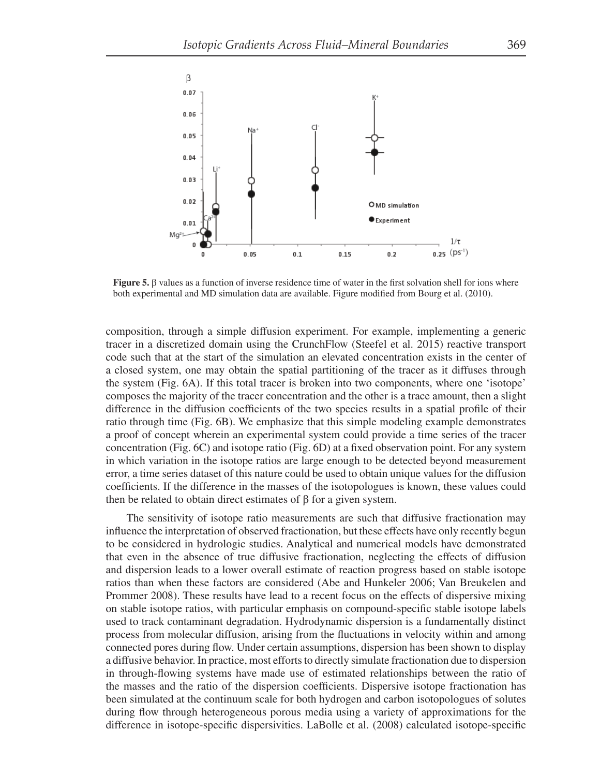

**Figure 5.**  $\beta$  values as a function of inverse residence time of water in the first solvation shell for ions where both experimental and MD simulation data are available. Figure modified from Bourg et al. (2010).

composition, through a simple diffusion experiment. For example, implementing a generic tracer in a discretized domain using the CrunchFlow (Steefel et al. 2015) reactive transport code such that at the start of the simulation an elevated concentration exists in the center of a closed system, one may obtain the spatial partitioning of the tracer as it diffuses through the system (Fig. 6A). If this total tracer is broken into two components, where one 'isotope' composes the majority of the tracer concentration and the other is a trace amount, then a slight difference in the diffusion coefficients of the two species results in a spatial profile of their ratio through time (Fig. 6B). We emphasize that this simple modeling example demonstrates a proof of concept wherein an experimental system could provide a time series of the tracer concentration (Fig.  $6C$ ) and isotope ratio (Fig.  $6D$ ) at a fixed observation point. For any system in which variation in the isotope ratios are large enough to be detected beyond measurement error, a time series dataset of this nature could be used to obtain unique values for the diffusion coefficients. If the difference in the masses of the isotopologues is known, these values could then be related to obtain direct estimates of  $\beta$  for a given system.

The sensitivity of isotope ratio measurements are such that diffusive fractionation may influence the interpretation of observed fractionation, but these effects have only recently begun to be considered in hydrologic studies. Analytical and numerical models have demonstrated that even in the absence of true diffusive fractionation, neglecting the effects of diffusion and dispersion leads to a lower overall estimate of reaction progress based on stable isotope ratios than when these factors are considered (Abe and Hunkeler 2006; Van Breukelen and Prommer 2008). These results have lead to a recent focus on the effects of dispersive mixing on stable isotope ratios, with particular emphasis on compound-specific stable isotope labels used to track contaminant degradation. Hydrodynamic dispersion is a fundamentally distinct process from molecular diffusion, arising from the fluctuations in velocity within and among connected pores during flow. Under certain assumptions, dispersion has been shown to display a diffusive behavior. In practice, most efforts to directly simulate fractionation due to dispersion in through-flowing systems have made use of estimated relationships between the ratio of the masses and the ratio of the dispersion coefficients. Dispersive isotope fractionation has been simulated at the continuum scale for both hydrogen and carbon isotopologues of solutes during flow through heterogeneous porous media using a variety of approximations for the difference in isotope-specific dispersivities. LaBolle et al. (2008) calculated isotope-specific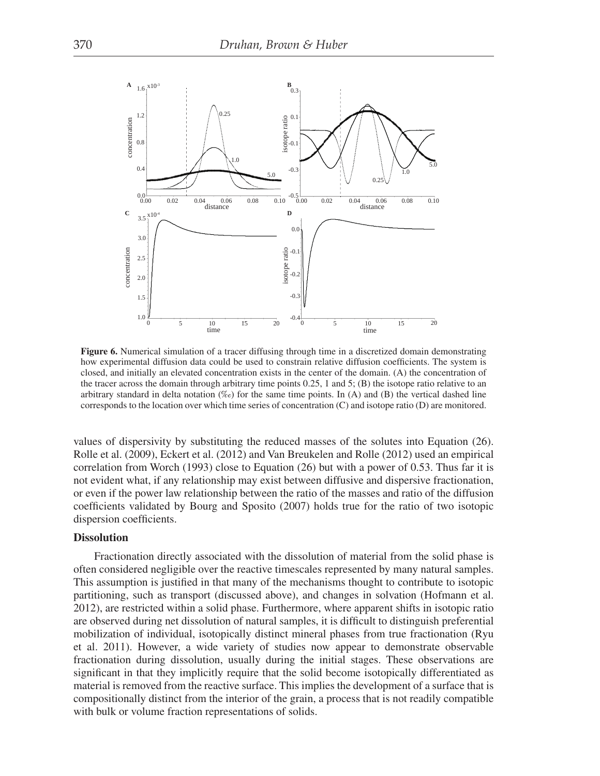

**Figure 6.** Numerical simulation of a tracer diffusing through time in a discretized domain demonstrating how experimental diffusion data could be used to constrain relative diffusion coefficients. The system is closed, and initially an elevated concentration exists in the center of the domain. (A) the concentration of the tracer across the domain through arbitrary time points 0.25, 1 and 5; (B) the isotope ratio relative to an arbitrary standard in delta notation  $(\%_0)$  for the same time points. In (A) and (B) the vertical dashed line corresponds to the location over which time series of concentration (C) and isotope ratio (D) are monitored.

values of dispersivity by substituting the reduced masses of the solutes into Equation (26). Rolle et al. (2009), Eckert et al. (2012) and Van Breukelen and Rolle (2012) used an empirical correlation from Worch (1993) close to Equation (26) but with a power of 0.53. Thus far it is not evident what, if any relationship may exist between diffusive and dispersive fractionation, or even if the power law relationship between the ratio of the masses and ratio of the diffusion coefficients validated by Bourg and Sposito (2007) holds true for the ratio of two isotopic dispersion coefficients.

### **Dissolution**

Fractionation directly associated with the dissolution of material from the solid phase is often considered negligible over the reactive timescales represented by many natural samples. This assumption is justified in that many of the mechanisms thought to contribute to isotopic partitioning, such as transport (discussed above), and changes in solvation (Hofmann et al. 2012), are restricted within a solid phase. Furthermore, where apparent shifts in isotopic ratio are observed during net dissolution of natural samples, it is difficult to distinguish preferential mobilization of individual, isotopically distinct mineral phases from true fractionation (Ryu et al. 2011). However, a wide variety of studies now appear to demonstrate observable fractionation during dissolution, usually during the initial stages. These observations are significant in that they implicitly require that the solid become isotopically differentiated as material is removed from the reactive surface. This implies the development of a surface that is compositionally distinct from the interior of the grain, a process that is not readily compatible with bulk or volume fraction representations of solids.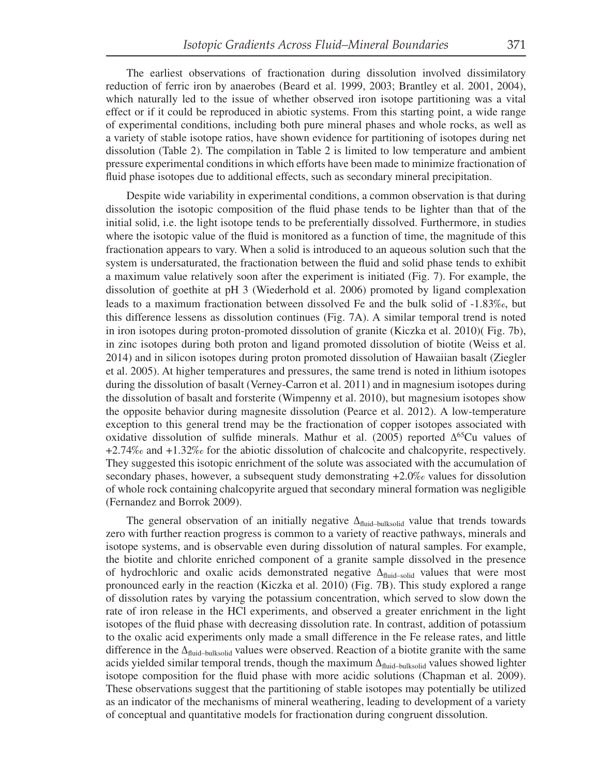The earliest observations of fractionation during dissolution involved dissimilatory reduction of ferric iron by anaerobes (Beard et al. 1999, 2003; Brantley et al. 2001, 2004), which naturally led to the issue of whether observed iron isotope partitioning was a vital effect or if it could be reproduced in abiotic systems. From this starting point, a wide range of experimental conditions, including both pure mineral phases and whole rocks, as well as a variety of stable isotope ratios, have shown evidence for partitioning of isotopes during net dissolution (Table 2). The compilation in Table 2 is limited to low temperature and ambient pressure experimental conditions in which efforts have been made to minimize fractionation of fluid phase isotopes due to additional effects, such as secondary mineral precipitation.

Despite wide variability in experimental conditions, a common observation is that during dissolution the isotopic composition of the fluid phase tends to be lighter than that of the initial solid, i.e. the light isotope tends to be preferentially dissolved. Furthermore, in studies where the isotopic value of the fluid is monitored as a function of time, the magnitude of this fractionation appears to vary. When a solid is introduced to an aqueous solution such that the system is undersaturated, the fractionation between the fluid and solid phase tends to exhibit a maximum value relatively soon after the experiment is initiated (Fig. 7). For example, the dissolution of goethite at pH 3 (Wiederhold et al. 2006) promoted by ligand complexation leads to a maximum fractionation between dissolved Fe and the bulk solid of -1.83‰, but this difference lessens as dissolution continues (Fig. 7A). A similar temporal trend is noted in iron isotopes during proton-promoted dissolution of granite (Kiczka et al. 2010)( Fig. 7b), in zinc isotopes during both proton and ligand promoted dissolution of biotite (Weiss et al. 2014) and in silicon isotopes during proton promoted dissolution of Hawaiian basalt (Ziegler et al. 2005). At higher temperatures and pressures, the same trend is noted in lithium isotopes during the dissolution of basalt (Verney-Carron et al. 2011) and in magnesium isotopes during the dissolution of basalt and forsterite (Wimpenny et al. 2010), but magnesium isotopes show the opposite behavior during magnesite dissolution (Pearce et al. 2012). A low-temperature exception to this general trend may be the fractionation of copper isotopes associated with oxidative dissolution of sulfide minerals. Mathur et al. (2005) reported  $\Delta^{65}$ Cu values of  $+2.74\%$  and  $+1.32\%$  for the abiotic dissolution of chalcocite and chalcopyrite, respectively. They suggested this isotopic enrichment of the solute was associated with the accumulation of secondary phases, however, a subsequent study demonstrating  $+2.0\%$  values for dissolution of whole rock containing chalcopyrite argued that secondary mineral formation was negligible (Fernandez and Borrok 2009).

The general observation of an initially negative  $\Delta_{fluid-bulk solid}$  value that trends towards zero with further reaction progress is common to a variety of reactive pathways, minerals and isotope systems, and is observable even during dissolution of natural samples. For example, the biotite and chlorite enriched component of a granite sample dissolved in the presence of hydrochloric and oxalic acids demonstrated negative  $\Delta_{\text{fluid-solid}}$  values that were most pronounced early in the reaction (Kiczka et al. 2010) (Fig. 7B). This study explored a range of dissolution rates by varying the potassium concentration, which served to slow down the rate of iron release in the HCl experiments, and observed a greater enrichment in the light isotopes of the fluid phase with decreasing dissolution rate. In contrast, addition of potassium to the oxalic acid experiments only made a small difference in the Fe release rates, and little difference in the  $\Delta_{\text{fluid-bulk solid}}$  values were observed. Reaction of a biotite granite with the same acids yielded similar temporal trends, though the maximum  $\Delta_{fluid-bulk solid}$  values showed lighter isotope composition for the fluid phase with more acidic solutions (Chapman et al. 2009). These observations suggest that the partitioning of stable isotopes may potentially be utilized as an indicator of the mechanisms of mineral weathering, leading to development of a variety of conceptual and quantitative models for fractionation during congruent dissolution.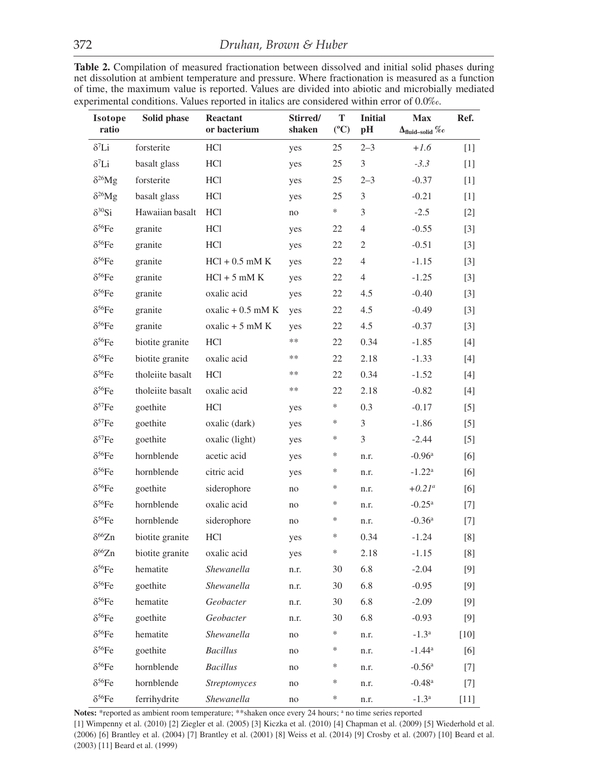**Table 2.** Compilation of measured fractionation between dissolved and initial solid phases during net dissolution at ambient temperature and pressure. Where fractionation is measured as a function of time, the maximum value is reported. Values are divided into abiotic and microbially mediated experimental conditions. Values reported in italics are considered within error of 0.0‰.

| <b>Isotope</b><br>ratio | Solid phase      | <b>Reactant</b><br>or bacterium | Stirred/<br>shaken | ${\bf T}$<br>$(^{\circ}C)$ | <b>Initial</b><br>pH | <b>Max</b><br>$\Delta_{\rm fluid-solid}$ %o | Ref.   |
|-------------------------|------------------|---------------------------------|--------------------|----------------------------|----------------------|---------------------------------------------|--------|
| $\delta^7$ Li           | forsterite       | <b>HCl</b>                      | yes                | 25                         | $2 - 3$              | $+1.6$                                      | $[1]$  |
| $\delta^7$ Li           | basalt glass     | <b>HCl</b>                      | yes                | 25                         | 3                    | $-3.3$                                      | $[1]$  |
| $\delta^{26}Mg$         | forsterite       | <b>HCl</b>                      | yes                | 25                         | $2 - 3$              | $-0.37$                                     | $[1]$  |
| $\delta^{26}Mg$         | basalt glass     | <b>HCl</b>                      | yes                | 25                         | 3                    | $-0.21$                                     | $[1]$  |
| $\delta^{30}$ Si        | Hawaiian basalt  | HC1                             | no                 | *                          | 3                    | $-2.5$                                      | $[2]$  |
| $\delta^{56}$ Fe        | granite          | <b>HCl</b>                      | yes                | 22                         | $\overline{4}$       | $-0.55$                                     | $[3]$  |
| $\delta^{56}$ Fe        | granite          | <b>HCl</b>                      | yes                | 22                         | $\overline{c}$       | $-0.51$                                     | $[3]$  |
| $\delta^{56}$ Fe        | granite          | $HCl + 0.5$ mM K                | yes                | 22                         | $\overline{4}$       | $-1.15$                                     | $[3]$  |
| $\delta^{56}$ Fe        | granite          | $HC1 + 5$ mM K                  | yes                | 22                         | $\overline{4}$       | $-1.25$                                     | $[3]$  |
| $\delta^{56}$ Fe        | granite          | oxalic acid                     | yes                | 22                         | 4.5                  | $-0.40$                                     | $[3]$  |
| $\delta^{56}Fe$         | granite          | oxalic $+0.5$ mM K              | yes                | 22                         | 4.5                  | $-0.49$                                     | $[3]$  |
| $\delta^{56}Fe$         | granite          | oxalic $+5$ mM K                | yes                | 22                         | 4.5                  | $-0.37$                                     | $[3]$  |
| $\delta^{56}$ Fe        | biotite granite  | <b>HCl</b>                      | **                 | 22                         | 0.34                 | $-1.85$                                     | $[4]$  |
| $\delta^{56}$ Fe        | biotite granite  | oxalic acid                     | **                 | 22                         | 2.18                 | $-1.33$                                     | $[4]$  |
| $\delta^{56}$ Fe        | tholeiite basalt | <b>HCl</b>                      | **                 | 22                         | 0.34                 | $-1.52$                                     | $[4]$  |
| $\delta^{56}$ Fe        | tholeiite basalt | oxalic acid                     | **                 | 22                         | 2.18                 | $-0.82$                                     | $[4]$  |
| $\delta^{57}$ Fe        | goethite         | <b>HCl</b>                      | yes                | *                          | 0.3                  | $-0.17$                                     | $[5]$  |
| $\delta^{57}$ Fe        | goethite         | oxalic (dark)                   | yes                | *                          | 3                    | $-1.86$                                     | $[5]$  |
| $\delta^{57}$ Fe        | goethite         | oxalic (light)                  | yes                | *                          | 3                    | $-2.44$                                     | $[5]$  |
| $\delta^{56}$ Fe        | hornblende       | acetic acid                     | yes                | *                          | n.r.                 | $-0.96$ <sup>a</sup>                        | [6]    |
| $\delta^{56}$ Fe        | hornblende       | citric acid                     | yes                | ∗                          | n.r.                 | $-1.22^{\rm a}$                             | [6]    |
| $\delta^{56}\!Fe$       | goethite         | siderophore                     | no                 | *                          | n.r.                 | $+0.21^a$                                   | [6]    |
| $\delta^{56}\!{\rm Fe}$ | hornblende       | oxalic acid                     | no                 | *                          | n.r.                 | $-0.25^{\rm a}$                             | $[7]$  |
| $\delta^{56}Fe$         | hornblende       | siderophore                     | no                 | *                          | n.r.                 | $-0.36a$                                    | $[7]$  |
| $\delta^{66}Zn$         | biotite granite  | <b>HCl</b>                      | yes                | *                          | 0.34                 | $-1.24$                                     | [8]    |
| $\delta^{66}Zn$         | biotite granite  | oxalic acid                     | yes                | $\ast$                     | 2.18                 | $-1.15$                                     | [8]    |
| $\delta^{56}Fe$         | hematite         | Shewanella                      | n.r.               | 30                         | 6.8                  | $-2.04$                                     | [9]    |
| $\delta^{56}\!{\rm Fe}$ | goethite         | Shewanella                      | n.r.               | 30                         | 6.8                  | $-0.95$                                     | [9]    |
| $\delta^{56}Fe$         | hematite         | Geobacter                       | n.r.               | 30                         | 6.8                  | $-2.09$                                     | [9]    |
| $\delta^{56}Fe$         | goethite         | Geobacter                       | n.r.               | 30                         | 6.8                  | $-0.93$                                     | [9]    |
| $\delta^{56}Fe$         | hematite         | Shewanella                      | no                 | $\ast$                     | n.r.                 | $-1.3^{\rm a}$                              | $[10]$ |
| $\delta^{56}Fe$         | goethite         | <b>Bacillus</b>                 | no                 | $\ast$                     | n.r.                 | $-1.44$ <sup>a</sup>                        | [6]    |
| $\delta^{56}Fe$         | hornblende       | <b>Bacillus</b>                 | no                 | $\ast$                     | n.r.                 | $-0.56a$                                    | $[7]$  |
| $\delta^{56}Fe$         | hornblende       | Streptomyces                    | no                 | $\ast$                     | n.r.                 | $-0.48$ <sup>a</sup>                        | $[7]$  |
| $\delta^{56}Fe$         | ferrihydrite     | Shewanella                      | no                 | $\ast$                     | n.r.                 | $-1.3^{\rm a}$                              | $[11]$ |

Notes: \*reported as ambient room temperature; \*\*shaken once every 24 hours; <sup>a</sup> no time series reported [1] Wimpenny et al. (2010) [2] Ziegler et al. (2005) [3] Kiczka et al. (2010) [4] Chapman et al. (2009) [5] Wiederhold et al. (2006) [6] Brantley et al. (2004) [7] Brantley et al. (2001) [8] Weiss et al. (2014) [9] Crosby et al. (2007) [10] Beard et al. (2003) [11] Beard et al. (1999)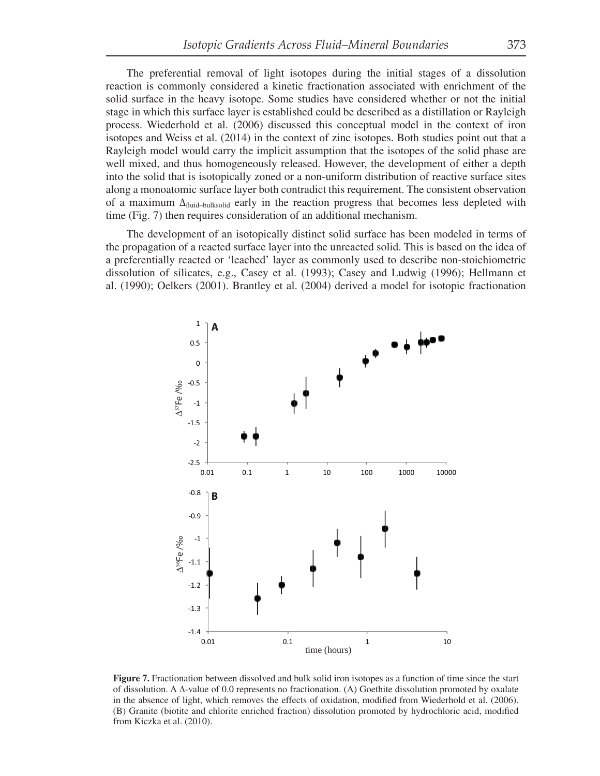The preferential removal of light isotopes during the initial stages of a dissolution reaction is commonly considered a kinetic fractionation associated with enrichment of the solid surface in the heavy isotope. Some studies have considered whether or not the initial stage in which this surface layer is established could be described as a distillation or Rayleigh process. Wiederhold et al. (2006) discussed this conceptual model in the context of iron isotopes and Weiss et al. (2014) in the context of zinc isotopes. Both studies point out that a Rayleigh model would carry the implicit assumption that the isotopes of the solid phase are well mixed, and thus homogeneously released. However, the development of either a depth into the solid that is isotopically zoned or a non-uniform distribution of reactive surface sites along a monoatomic surface layer both contradict this requirement. The consistent observation of a maximum  $\Delta_{\text{fluid-bulk solid}}$  early in the reaction progress that becomes less depleted with time (Fig. 7) then requires consideration of an additional mechanism.

The development of an isotopically distinct solid surface has been modeled in terms of the propagation of a reacted surface layer into the unreacted solid. This is based on the idea of a preferentially reacted or 'leached' layer as commonly used to describe non-stoichiometric dissolution of silicates, e.g., Casey et al. (1993); Casey and Ludwig (1996); Hellmann et al. (1990); Oelkers (2001). Brantley et al. (2004) derived a model for isotopic fractionation



**Figure 7.** Fractionation between dissolved and bulk solid iron isotopes as a function of time since the start of dissolution. A Δ-value of 0.0 represents no fractionation. (A) Goethite dissolution promoted by oxalate in the absence of light, which removes the effects of oxidation, modified from Wiederhold et al. (2006). (B) Granite (biotite and chlorite enriched fraction) dissolution promoted by hydrochloric acid, modified from Kiczka et al. (2010).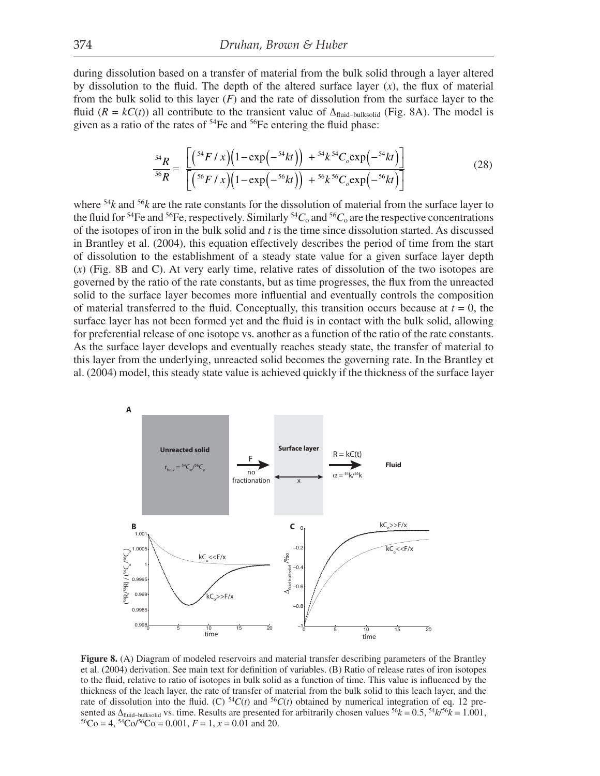during dissolution based on a transfer of material from the bulk solid through a layer altered by dissolution to the fluid. The depth of the altered surface layer  $(x)$ , the flux of material from the bulk solid to this layer (*F*) and the rate of dissolution from the surface layer to the fluid  $(R = kC(t))$  all contribute to the transient value of  $\Delta_{\text{fluid-bulk solid}}$  (Fig. 8A). The model is given as a ratio of the rates of  $54Fe$  and  $56Fe$  entering the fluid phase:

$$
\frac{^{54}R}{^{56}R} = \frac{\left[\left(\frac{^{54}F}{x}\right)\left(1 - \exp\left(-\frac{^{54}kt}{x}\right)\right) + ^{54}k^{54}C_o \exp\left(-\frac{^{54}kt}{x}\right)\right]}{\left[\left(\frac{^{56}F}{x}\right)\left(1 - \exp\left(-\frac{^{56}kt}{x}\right)\right) + ^{56}k^{56}C_o \exp\left(-\frac{^{56}kt}{x}\right)\right]}
$$
(28)

where <sup>54</sup>*k* and <sup>56</sup>*k* are the rate constants for the dissolution of material from the surface layer to the fluid for <sup>54</sup>Fe and <sup>56</sup>Fe, respectively. Similarly <sup>54</sup>C<sub>o</sub> and <sup>56</sup>C<sub>o</sub> are the respective concentrations of the isotopes of iron in the bulk solid and *t* is the time since dissolution started. As discussed in Brantley et al. (2004), this equation effectively describes the period of time from the start of dissolution to the establishment of a steady state value for a given surface layer depth (*x*) (Fig. 8B and C). At very early time, relative rates of dissolution of the two isotopes are governed by the ratio of the rate constants, but as time progresses, the flux from the unreacted solid to the surface layer becomes more influential and eventually controls the composition of material transferred to the fluid. Conceptually, this transition occurs because at  $t = 0$ , the surface layer has not been formed yet and the fluid is in contact with the bulk solid, allowing for preferential release of one isotope vs. another as a function of the ratio of the rate constants. As the surface layer develops and eventually reaches steady state, the transfer of material to this layer from the underlying, unreacted solid becomes the governing rate. In the Brantley et al. (2004) model, this steady state value is achieved quickly if the thickness of the surface layer



**Figure 8.** (A) Diagram of modeled reservoirs and material transfer describing parameters of the Brantley et al. (2004) derivation. See main text for definition of variables. (B) Ratio of release rates of iron isotopes to the fluid, relative to ratio of isotopes in bulk solid as a function of time. This value is influenced by the thickness of the leach layer, the rate of transfer of material from the bulk solid to this leach layer, and the rate of dissolution into the fluid. (C)  ${}^{54}C(t)$  and  ${}^{56}C(t)$  obtained by numerical integration of eq. 12 presented as  $\Delta_{\text{fluid-bulk solid}}$  vs. time. Results are presented for arbitrarily chosen values <sup>56</sup> $k = 0.5$ , <sup>54</sup> $k/56k = 1.001$ ,  $56C$ o = 4, <sup>54</sup> $C$ o/<sup>56</sup> $C$ o = 0.001,  $F = 1$ ,  $x = 0.01$  and 20.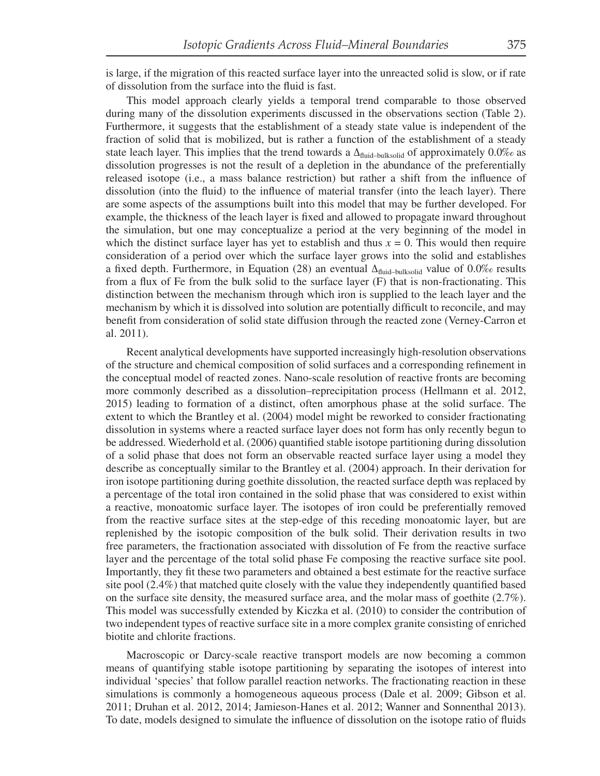is large, if the migration of this reacted surface layer into the unreacted solid is slow, or if rate of dissolution from the surface into the fluid is fast.

This model approach clearly yields a temporal trend comparable to those observed during many of the dissolution experiments discussed in the observations section (Table 2). Furthermore, it suggests that the establishment of a steady state value is independent of the fraction of solid that is mobilized, but is rather a function of the establishment of a steady state leach layer. This implies that the trend towards a  $\Delta_{\text{fluid-bulksolid}}$  of approximately 0.0‰ as dissolution progresses is not the result of a depletion in the abundance of the preferentially released isotope (i.e., a mass balance restriction) but rather a shift from the influence of dissolution (into the fluid) to the influence of material transfer (into the leach layer). There are some aspects of the assumptions built into this model that may be further developed. For example, the thickness of the leach layer is fixed and allowed to propagate inward throughout the simulation, but one may conceptualize a period at the very beginning of the model in which the distinct surface layer has yet to establish and thus  $x = 0$ . This would then require consideration of a period over which the surface layer grows into the solid and establishes a fixed depth. Furthermore, in Equation (28) an eventual  $\Delta_{\text{fluid-bulksolid}}$  value of 0.0% results from a flux of Fe from the bulk solid to the surface layer  $(F)$  that is non-fractionating. This distinction between the mechanism through which iron is supplied to the leach layer and the mechanism by which it is dissolved into solution are potentially difficult to reconcile, and may benefit from consideration of solid state diffusion through the reacted zone (Verney-Carron et al. 2011).

Recent analytical developments have supported increasingly high-resolution observations of the structure and chemical composition of solid surfaces and a corresponding refinement in the conceptual model of reacted zones. Nano-scale resolution of reactive fronts are becoming more commonly described as a dissolution–reprecipitation process (Hellmann et al. 2012, 2015) leading to formation of a distinct, often amorphous phase at the solid surface. The extent to which the Brantley et al. (2004) model might be reworked to consider fractionating dissolution in systems where a reacted surface layer does not form has only recently begun to be addressed. Wiederhold et al. (2006) quantified stable isotope partitioning during dissolution of a solid phase that does not form an observable reacted surface layer using a model they describe as conceptually similar to the Brantley et al. (2004) approach. In their derivation for iron isotope partitioning during goethite dissolution, the reacted surface depth was replaced by a percentage of the total iron contained in the solid phase that was considered to exist within a reactive, monoatomic surface layer. The isotopes of iron could be preferentially removed from the reactive surface sites at the step-edge of this receding monoatomic layer, but are replenished by the isotopic composition of the bulk solid. Their derivation results in two free parameters, the fractionation associated with dissolution of Fe from the reactive surface layer and the percentage of the total solid phase Fe composing the reactive surface site pool. Importantly, they fit these two parameters and obtained a best estimate for the reactive surface site pool  $(2.4\%)$  that matched quite closely with the value they independently quantified based on the surface site density, the measured surface area, and the molar mass of goethite (2.7%). This model was successfully extended by Kiczka et al. (2010) to consider the contribution of two independent types of reactive surface site in a more complex granite consisting of enriched biotite and chlorite fractions.

Macroscopic or Darcy-scale reactive transport models are now becoming a common means of quantifying stable isotope partitioning by separating the isotopes of interest into individual 'species' that follow parallel reaction networks. The fractionating reaction in these simulations is commonly a homogeneous aqueous process (Dale et al. 2009; Gibson et al. 2011; Druhan et al. 2012, 2014; Jamieson-Hanes et al. 2012; Wanner and Sonnenthal 2013). To date, models designed to simulate the influence of dissolution on the isotope ratio of fluids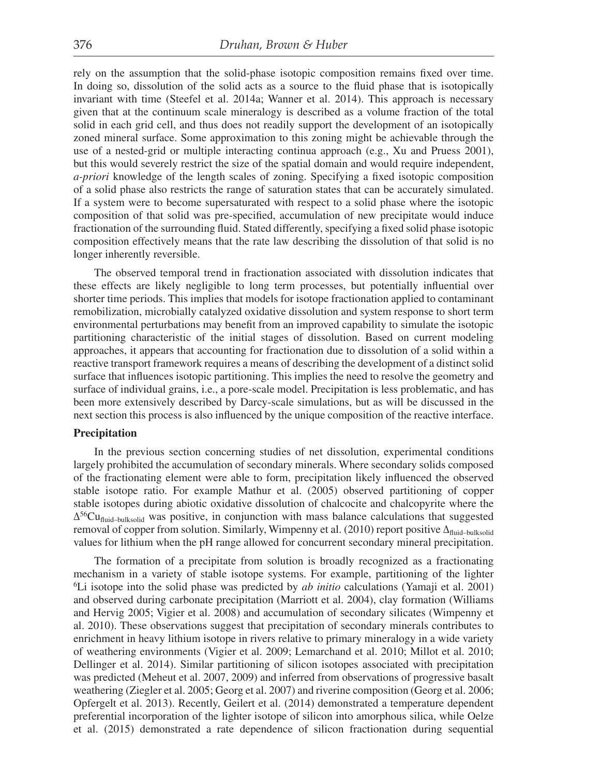rely on the assumption that the solid-phase isotopic composition remains fixed over time. In doing so, dissolution of the solid acts as a source to the fluid phase that is isotopically invariant with time (Steefel et al. 2014a; Wanner et al. 2014). This approach is necessary given that at the continuum scale mineralogy is described as a volume fraction of the total solid in each grid cell, and thus does not readily support the development of an isotopically zoned mineral surface. Some approximation to this zoning might be achievable through the use of a nested-grid or multiple interacting continua approach (e.g., Xu and Pruess 2001), but this would severely restrict the size of the spatial domain and would require independent, *a-priori* knowledge of the length scales of zoning. Specifying a fixed isotopic composition of a solid phase also restricts the range of saturation states that can be accurately simulated. If a system were to become supersaturated with respect to a solid phase where the isotopic composition of that solid was pre-specified, accumulation of new precipitate would induce fractionation of the surrounding fluid. Stated differently, specifying a fixed solid phase isotopic composition effectively means that the rate law describing the dissolution of that solid is no longer inherently reversible.

The observed temporal trend in fractionation associated with dissolution indicates that these effects are likely negligible to long term processes, but potentially influential over shorter time periods. This implies that models for isotope fractionation applied to contaminant remobilization, microbially catalyzed oxidative dissolution and system response to short term environmental perturbations may benefit from an improved capability to simulate the isotopic partitioning characteristic of the initial stages of dissolution. Based on current modeling approaches, it appears that accounting for fractionation due to dissolution of a solid within a reactive transport framework requires a means of describing the development of a distinct solid surface that influences isotopic partitioning. This implies the need to resolve the geometry and surface of individual grains, i.e., a pore-scale model. Precipitation is less problematic, and has been more extensively described by Darcy-scale simulations, but as will be discussed in the next section this process is also influenced by the unique composition of the reactive interface.

## **Precipitation**

In the previous section concerning studies of net dissolution, experimental conditions largely prohibited the accumulation of secondary minerals. Where secondary solids composed of the fractionating element were able to form, precipitation likely influenced the observed stable isotope ratio. For example Mathur et al. (2005) observed partitioning of copper stable isotopes during abiotic oxidative dissolution of chalcocite and chalcopyrite where the  $\Delta^{56}$ Cu<sub>fluid–bulksolid</sub> was positive, in conjunction with mass balance calculations that suggested removal of copper from solution. Similarly, Wimpenny et al. (2010) report positive  $\Delta_{\text{fluid-bulk solid}}$ values for lithium when the pH range allowed for concurrent secondary mineral precipitation.

The formation of a precipitate from solution is broadly recognized as a fractionating mechanism in a variety of stable isotope systems. For example, partitioning of the lighter 6 Li isotope into the solid phase was predicted by *ab initio* calculations (Yamaji et al. 2001) and observed during carbonate precipitation (Marriott et al. 2004), clay formation (Williams and Hervig 2005; Vigier et al. 2008) and accumulation of secondary silicates (Wimpenny et al. 2010). These observations suggest that precipitation of secondary minerals contributes to enrichment in heavy lithium isotope in rivers relative to primary mineralogy in a wide variety of weathering environments (Vigier et al. 2009; Lemarchand et al. 2010; Millot et al. 2010; Dellinger et al. 2014). Similar partitioning of silicon isotopes associated with precipitation was predicted (Meheut et al. 2007, 2009) and inferred from observations of progressive basalt weathering (Ziegler et al. 2005; Georg et al. 2007) and riverine composition (Georg et al. 2006; Opfergelt et al. 2013). Recently, Geilert et al. (2014) demonstrated a temperature dependent preferential incorporation of the lighter isotope of silicon into amorphous silica, while Oelze et al. (2015) demonstrated a rate dependence of silicon fractionation during sequential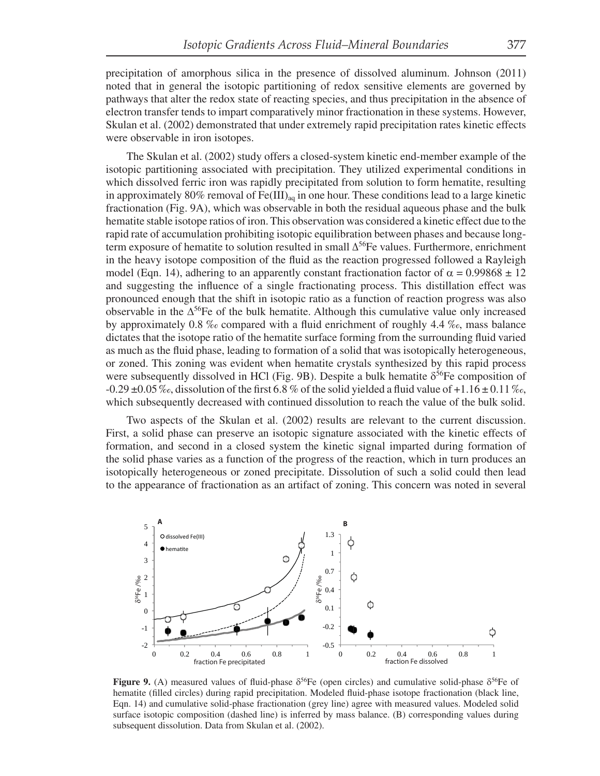precipitation of amorphous silica in the presence of dissolved aluminum. Johnson (2011) noted that in general the isotopic partitioning of redox sensitive elements are governed by pathways that alter the redox state of reacting species, and thus precipitation in the absence of electron transfer tends to impart comparatively minor fractionation in these systems. However, Skulan et al. (2002) demonstrated that under extremely rapid precipitation rates kinetic effects were observable in iron isotopes.

The Skulan et al. (2002) study offers a closed-system kinetic end-member example of the isotopic partitioning associated with precipitation. They utilized experimental conditions in which dissolved ferric iron was rapidly precipitated from solution to form hematite, resulting in approximately 80% removal of  $Fe(III)_{aa}$  in one hour. These conditions lead to a large kinetic fractionation (Fig. 9A), which was observable in both the residual aqueous phase and the bulk hematite stable isotope ratios of iron. This observation was considered a kinetic effect due to the rapid rate of accumulation prohibiting isotopic equilibration between phases and because longterm exposure of hematite to solution resulted in small  $\Delta^{56}$ Fe values. Furthermore, enrichment in the heavy isotope composition of the fluid as the reaction progressed followed a Rayleigh model (Eqn. 14), adhering to an apparently constant fractionation factor of  $\alpha = 0.99868 \pm 12$ and suggesting the influence of a single fractionating process. This distillation effect was pronounced enough that the shift in isotopic ratio as a function of reaction progress was also observable in the  $\Delta^{56}$ Fe of the bulk hematite. Although this cumulative value only increased by approximately 0.8 ‰ compared with a fluid enrichment of roughly 4.4 ‰, mass balance dictates that the isotope ratio of the hematite surface forming from the surrounding fluid varied as much as the fluid phase, leading to formation of a solid that was isotopically heterogeneous, or zoned. This zoning was evident when hematite crystals synthesized by this rapid process were subsequently dissolved in HCl (Fig. 9B). Despite a bulk hematite  $\delta^{56}$ Fe composition of  $-0.29 \pm 0.05\%$ , dissolution of the first 6.8 % of the solid yielded a fluid value of  $+1.16 \pm 0.11\%$ , which subsequently decreased with continued dissolution to reach the value of the bulk solid.

Two aspects of the Skulan et al. (2002) results are relevant to the current discussion. First, a solid phase can preserve an isotopic signature associated with the kinetic effects of formation, and second in a closed system the kinetic signal imparted during formation of the solid phase varies as a function of the progress of the reaction, which in turn produces an isotopically heterogeneous or zoned precipitate. Dissolution of such a solid could then lead to the appearance of fractionation as an artifact of zoning. This concern was noted in several



**Figure 9.** (A) measured values of fluid-phase  $\delta^{56}Fe$  (open circles) and cumulative solid-phase  $\delta^{56}Fe$  of hematite (filled circles) during rapid precipitation. Modeled fluid-phase isotope fractionation (black line, Eqn. 14) and cumulative solid-phase fractionation (grey line) agree with measured values. Modeled solid surface isotopic composition (dashed line) is inferred by mass balance. (B) corresponding values during subsequent dissolution. Data from Skulan et al. (2002).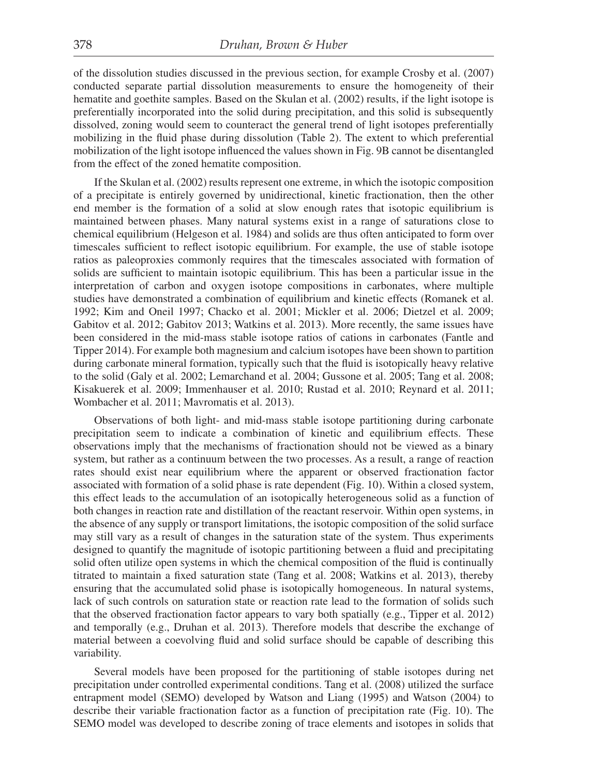of the dissolution studies discussed in the previous section, for example Crosby et al. (2007) conducted separate partial dissolution measurements to ensure the homogeneity of their hematite and goethite samples. Based on the Skulan et al. (2002) results, if the light isotope is preferentially incorporated into the solid during precipitation, and this solid is subsequently dissolved, zoning would seem to counteract the general trend of light isotopes preferentially mobilizing in the fluid phase during dissolution (Table 2). The extent to which preferential mobilization of the light isotope influenced the values shown in Fig. 9B cannot be disentangled from the effect of the zoned hematite composition.

If the Skulan et al. (2002) results represent one extreme, in which the isotopic composition of a precipitate is entirely governed by unidirectional, kinetic fractionation, then the other end member is the formation of a solid at slow enough rates that isotopic equilibrium is maintained between phases. Many natural systems exist in a range of saturations close to chemical equilibrium (Helgeson et al. 1984) and solids are thus often anticipated to form over timescales sufficient to reflect isotopic equilibrium. For example, the use of stable isotope ratios as paleoproxies commonly requires that the timescales associated with formation of solids are sufficient to maintain isotopic equilibrium. This has been a particular issue in the interpretation of carbon and oxygen isotope compositions in carbonates, where multiple studies have demonstrated a combination of equilibrium and kinetic effects (Romanek et al. 1992; Kim and Oneil 1997; Chacko et al. 2001; Mickler et al. 2006; Dietzel et al. 2009; Gabitov et al. 2012; Gabitov 2013; Watkins et al. 2013). More recently, the same issues have been considered in the mid-mass stable isotope ratios of cations in carbonates (Fantle and Tipper 2014). For example both magnesium and calcium isotopes have been shown to partition during carbonate mineral formation, typically such that the fluid is isotopically heavy relative to the solid (Galy et al. 2002; Lemarchand et al. 2004; Gussone et al. 2005; Tang et al. 2008; Kisakuerek et al. 2009; Immenhauser et al. 2010; Rustad et al. 2010; Reynard et al. 2011; Wombacher et al. 2011; Mavromatis et al. 2013).

Observations of both light- and mid-mass stable isotope partitioning during carbonate precipitation seem to indicate a combination of kinetic and equilibrium effects. These observations imply that the mechanisms of fractionation should not be viewed as a binary system, but rather as a continuum between the two processes. As a result, a range of reaction rates should exist near equilibrium where the apparent or observed fractionation factor associated with formation of a solid phase is rate dependent (Fig. 10). Within a closed system, this effect leads to the accumulation of an isotopically heterogeneous solid as a function of both changes in reaction rate and distillation of the reactant reservoir. Within open systems, in the absence of any supply or transport limitations, the isotopic composition of the solid surface may still vary as a result of changes in the saturation state of the system. Thus experiments designed to quantify the magnitude of isotopic partitioning between a fluid and precipitating solid often utilize open systems in which the chemical composition of the fluid is continually titrated to maintain a fixed saturation state (Tang et al. 2008; Watkins et al. 2013), thereby ensuring that the accumulated solid phase is isotopically homogeneous. In natural systems, lack of such controls on saturation state or reaction rate lead to the formation of solids such that the observed fractionation factor appears to vary both spatially (e.g., Tipper et al. 2012) and temporally (e.g., Druhan et al. 2013). Therefore models that describe the exchange of material between a coevolving fluid and solid surface should be capable of describing this variability.

Several models have been proposed for the partitioning of stable isotopes during net precipitation under controlled experimental conditions. Tang et al. (2008) utilized the surface entrapment model (SEMO) developed by Watson and Liang (1995) and Watson (2004) to describe their variable fractionation factor as a function of precipitation rate (Fig. 10). The SEMO model was developed to describe zoning of trace elements and isotopes in solids that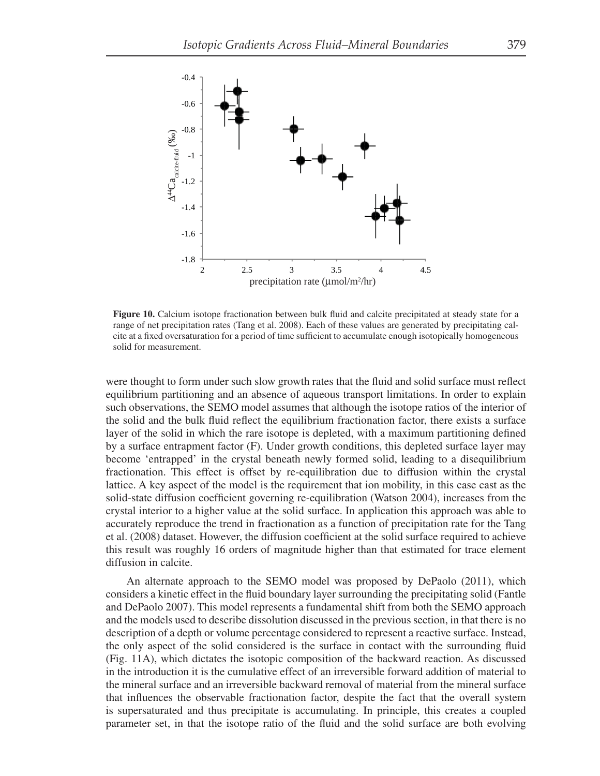

**Figure 10.** Calcium isotope fractionation between bulk fluid and calcite precipitated at steady state for a range of net precipitation rates (Tang et al. 2008). Each of these values are generated by precipitating calcite at a fixed oversaturation for a period of time sufficient to accumulate enough isotopically homogeneous solid for measurement.

were thought to form under such slow growth rates that the fluid and solid surface must reflect equilibrium partitioning and an absence of aqueous transport limitations. In order to explain such observations, the SEMO model assumes that although the isotope ratios of the interior of the solid and the bulk fluid reflect the equilibrium fractionation factor, there exists a surface layer of the solid in which the rare isotope is depleted, with a maximum partitioning defined by a surface entrapment factor (F). Under growth conditions, this depleted surface layer may become 'entrapped' in the crystal beneath newly formed solid, leading to a disequilibrium fractionation. This effect is offset by re-equilibration due to diffusion within the crystal lattice. A key aspect of the model is the requirement that ion mobility, in this case cast as the solid-state diffusion coefficient governing re-equilibration (Watson 2004), increases from the crystal interior to a higher value at the solid surface. In application this approach was able to accurately reproduce the trend in fractionation as a function of precipitation rate for the Tang et al. (2008) dataset. However, the diffusion coefficient at the solid surface required to achieve this result was roughly 16 orders of magnitude higher than that estimated for trace element diffusion in calcite.

An alternate approach to the SEMO model was proposed by DePaolo (2011), which considers a kinetic effect in the fluid boundary layer surrounding the precipitating solid (Fantle and DePaolo 2007). This model represents a fundamental shift from both the SEMO approach and the models used to describe dissolution discussed in the previous section, in that there is no description of a depth or volume percentage considered to represent a reactive surface. Instead, the only aspect of the solid considered is the surface in contact with the surrounding fluid (Fig. 11A), which dictates the isotopic composition of the backward reaction. As discussed in the introduction it is the cumulative effect of an irreversible forward addition of material to the mineral surface and an irreversible backward removal of material from the mineral surface that influences the observable fractionation factor, despite the fact that the overall system is supersaturated and thus precipitate is accumulating. In principle, this creates a coupled parameter set, in that the isotope ratio of the fluid and the solid surface are both evolving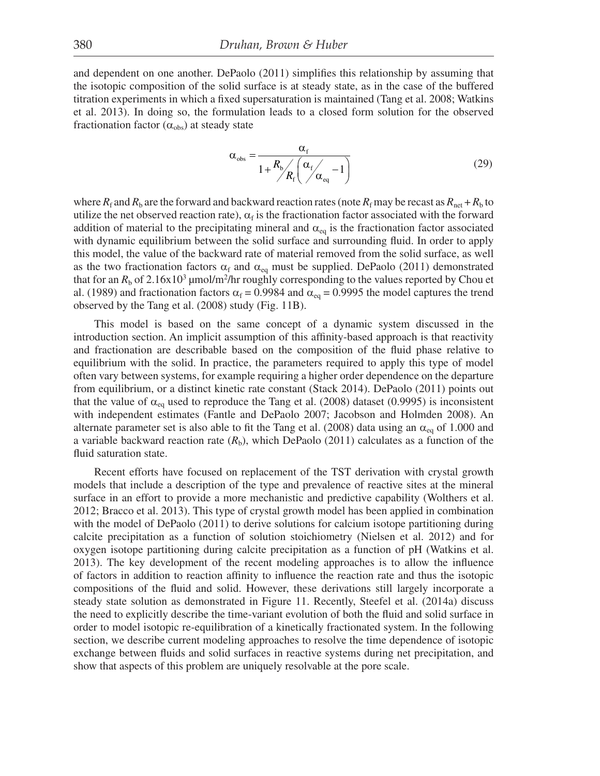and dependent on one another. DePaolo  $(2011)$  simplifies this relationship by assuming that the isotopic composition of the solid surface is at steady state, as in the case of the buffered titration experiments in which a fixed supersaturation is maintained (Tang et al. 2008; Watkins et al. 2013). In doing so, the formulation leads to a closed form solution for the observed fractionation factor  $(\alpha_{obs})$  at steady state

$$
\alpha_{\text{obs}} = \frac{\alpha_{\text{f}}}{1 + \frac{R_{\text{b}}}{R_{\text{f}}} \left(\frac{\alpha_{\text{f}}}{\alpha_{\text{eq}}} - 1\right)}
$$
(29)

where  $R_f$  and  $R_b$  are the forward and backward reaction rates (note  $R_f$  may be recast as  $R_{\text{net}} + R_b$  to utilize the net observed reaction rate),  $\alpha_f$  is the fractionation factor associated with the forward addition of material to the precipitating mineral and  $\alpha_{eq}$  is the fractionation factor associated with dynamic equilibrium between the solid surface and surrounding fluid. In order to apply this model, the value of the backward rate of material removed from the solid surface, as well as the two fractionation factors  $\alpha_f$  and  $\alpha_{eq}$  must be supplied. DePaolo (2011) demonstrated that for an  $R_b$  of  $2.16x10^3$  µmol/m<sup>2</sup>/hr roughly corresponding to the values reported by Chou et al. (1989) and fractionation factors  $\alpha_f = 0.9984$  and  $\alpha_{eq} = 0.9995$  the model captures the trend observed by the Tang et al. (2008) study (Fig. 11B).

This model is based on the same concept of a dynamic system discussed in the introduction section. An implicit assumption of this affinity-based approach is that reactivity and fractionation are describable based on the composition of the fluid phase relative to equilibrium with the solid. In practice, the parameters required to apply this type of model often vary between systems, for example requiring a higher order dependence on the departure from equilibrium, or a distinct kinetic rate constant (Stack 2014). DePaolo (2011) points out that the value of  $\alpha_{eq}$  used to reproduce the Tang et al. (2008) dataset (0.9995) is inconsistent with independent estimates (Fantle and DePaolo 2007; Jacobson and Holmden 2008). An alternate parameter set is also able to fit the Tang et al. (2008) data using an  $\alpha_{eq}$  of 1.000 and a variable backward reaction rate  $(R_b)$ , which DePaolo (2011) calculates as a function of the fluid saturation state.

Recent efforts have focused on replacement of the TST derivation with crystal growth models that include a description of the type and prevalence of reactive sites at the mineral surface in an effort to provide a more mechanistic and predictive capability (Wolthers et al. 2012; Bracco et al. 2013). This type of crystal growth model has been applied in combination with the model of DePaolo (2011) to derive solutions for calcium isotope partitioning during calcite precipitation as a function of solution stoichiometry (Nielsen et al. 2012) and for oxygen isotope partitioning during calcite precipitation as a function of pH (Watkins et al. 2013). The key development of the recent modeling approaches is to allow the influence of factors in addition to reaction affinity to influence the reaction rate and thus the isotopic compositions of the fluid and solid. However, these derivations still largely incorporate a steady state solution as demonstrated in Figure 11. Recently, Steefel et al. (2014a) discuss the need to explicitly describe the time-variant evolution of both the fluid and solid surface in order to model isotopic re-equilibration of a kinetically fractionated system. In the following section, we describe current modeling approaches to resolve the time dependence of isotopic exchange between fluids and solid surfaces in reactive systems during net precipitation, and show that aspects of this problem are uniquely resolvable at the pore scale.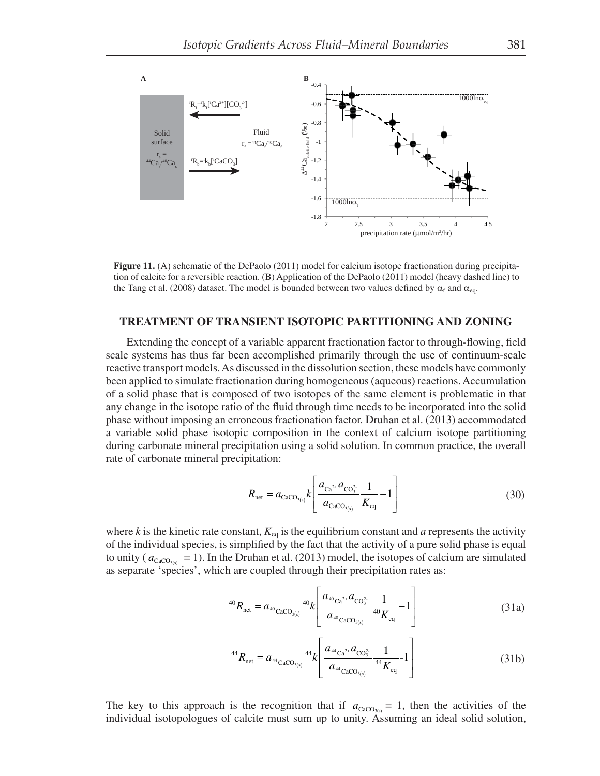

**Figure 11.** (A) schematic of the DePaolo (2011) model for calcium isotope fractionation during precipitation of calcite for a reversible reaction. (B) Application of the DePaolo (2011) model (heavy dashed line) to the Tang et al. (2008) dataset. The model is bounded between two values defined by  $\alpha_f$  and  $\alpha_{eq}$ .

#### **TREATMENT OF TRANSIENT ISOTOPIC PARTITIONING AND ZONING**

Extending the concept of a variable apparent fractionation factor to through-flowing, field scale systems has thus far been accomplished primarily through the use of continuum-scale reactive transport models. As discussed in the dissolution section, these models have commonly been applied to simulate fractionation during homogeneous (aqueous) reactions. Accumulation of a solid phase that is composed of two isotopes of the same element is problematic in that any change in the isotope ratio of the fluid through time needs to be incorporated into the solid phase without imposing an erroneous fractionation factor. Druhan et al. (2013) accommodated a variable solid phase isotopic composition in the context of calcium isotope partitioning during carbonate mineral precipitation using a solid solution. In common practice, the overall rate of carbonate mineral precipitation:

$$
R_{\text{net}} = a_{\text{CaCO}_{3(s)}} k \left[ \frac{a_{\text{Ca}^{2+}} a_{\text{CO}^2}}{a_{\text{CaCO}_{3(s)}}} \frac{1}{K_{\text{eq}}} - 1 \right]
$$
 (30)

where *k* is the kinetic rate constant,  $K_{eq}$  is the equilibrium constant and *a* represents the activity of the individual species, is simplified by the fact that the activity of a pure solid phase is equal to unity ( $a_{\text{CaCO}_{3(s)}} = 1$ ). In the Druhan et al. (2013) model, the isotopes of calcium are simulated as separate 'species', which are coupled through their precipitation rates as:

$$
^{40}R_{\text{net}} = a_{^{40}\text{CaCO}_{3(s)}}^{40}k \left[\frac{a_{^{40}\text{Ca}^{2+}}a_{\text{CO}_3^2}}{a_{^{40}\text{CaCO}_{3(s)}}} \frac{1}{^{40}K_{\text{eq}}} - 1\right]
$$
(31a)

$$
^{44}R_{\text{net}} = a_{^{44}\text{CaCO}_{3(s)}}^{44}k \left[\frac{a_{^{44}\text{Ca}^{2*}}a_{\text{CO}_3^2}}{a_{^{44}\text{CaCO}_{3(s)}}} \frac{1}{^{44}K_{\text{eq}}} - 1\right]
$$
(31b)

The key to this approach is the recognition that if  $a_{CaCO<sub>3(4)</sub>} = 1$ , then the activities of the individual isotopologues of calcite must sum up to unity. Assuming an ideal solid solution,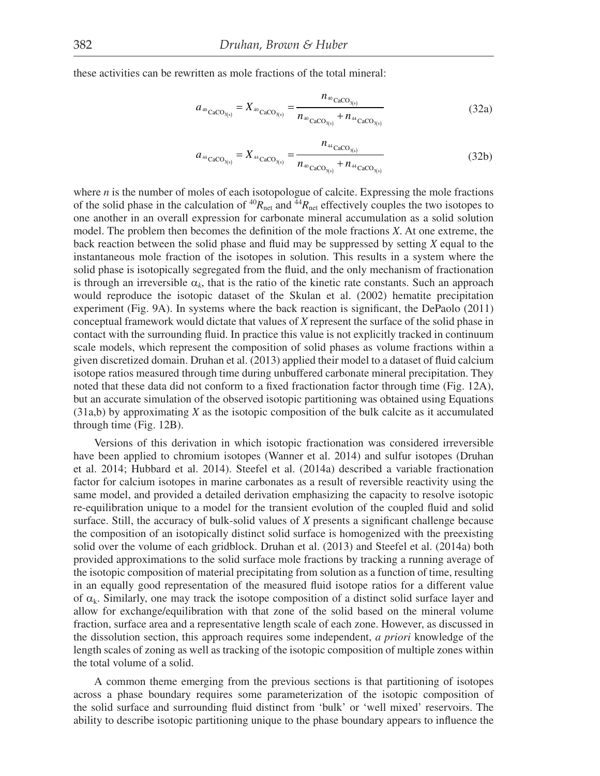these activities can be rewritten as mole fractions of the total mineral:

$$
a_{^{40}\text{CaCO}_{3(s)}} = X_{^{40}\text{CaCO}_{3(s)}} = \frac{n_{^{40}\text{CaCO}_{3(s)}}}{n_{^{40}\text{CaCO}_{3(s)}} + n_{^{44}\text{CaCO}_{3(s)}}}
$$
(32a)

$$
a_{^{44}\text{CaCO}_{3(s)}} = X_{^{44}\text{CaCO}_{3(s)}} = \frac{n_{^{44}\text{CaCO}_{3(s)}}}{n_{^{40}\text{CaCO}_{3(s)}} + n_{^{44}\text{CaCO}_{3(s)}}}
$$
(32b)

*n*

where *n* is the number of moles of each isotopologue of calcite. Expressing the mole fractions of the solid phase in the calculation of  ${}^{40}R_{\text{net}}$  and  ${}^{44}R_{\text{net}}$  effectively couples the two isotopes to one another in an overall expression for carbonate mineral accumulation as a solid solution model. The problem then becomes the definition of the mole fractions *X*. At one extreme, the back reaction between the solid phase and fluid may be suppressed by setting *X* equal to the instantaneous mole fraction of the isotopes in solution. This results in a system where the solid phase is isotopically segregated from the fluid, and the only mechanism of fractionation is through an irreversible  $\alpha_k$ , that is the ratio of the kinetic rate constants. Such an approach would reproduce the isotopic dataset of the Skulan et al. (2002) hematite precipitation experiment (Fig. 9A). In systems where the back reaction is significant, the DePaolo  $(2011)$ conceptual framework would dictate that values of *X* represent the surface of the solid phase in contact with the surrounding fluid. In practice this value is not explicitly tracked in continuum scale models, which represent the composition of solid phases as volume fractions within a given discretized domain. Druhan et al. (2013) applied their model to a dataset of fluid calcium isotope ratios measured through time during unbuffered carbonate mineral precipitation. They noted that these data did not conform to a fixed fractionation factor through time (Fig. 12A), but an accurate simulation of the observed isotopic partitioning was obtained using Equations (31a,b) by approximating *X* as the isotopic composition of the bulk calcite as it accumulated through time (Fig. 12B).

Versions of this derivation in which isotopic fractionation was considered irreversible have been applied to chromium isotopes (Wanner et al. 2014) and sulfur isotopes (Druhan et al. 2014; Hubbard et al. 2014). Steefel et al. (2014a) described a variable fractionation factor for calcium isotopes in marine carbonates as a result of reversible reactivity using the same model, and provided a detailed derivation emphasizing the capacity to resolve isotopic re-equilibration unique to a model for the transient evolution of the coupled fluid and solid surface. Still, the accuracy of bulk-solid values of *X* presents a significant challenge because the composition of an isotopically distinct solid surface is homogenized with the preexisting solid over the volume of each gridblock. Druhan et al. (2013) and Steefel et al. (2014a) both provided approximations to the solid surface mole fractions by tracking a running average of the isotopic composition of material precipitating from solution as a function of time, resulting in an equally good representation of the measured fluid isotope ratios for a different value of  $\alpha_k$ . Similarly, one may track the isotope composition of a distinct solid surface layer and allow for exchange/equilibration with that zone of the solid based on the mineral volume fraction, surface area and a representative length scale of each zone. However, as discussed in the dissolution section, this approach requires some independent, *a priori* knowledge of the length scales of zoning as well as tracking of the isotopic composition of multiple zones within the total volume of a solid.

A common theme emerging from the previous sections is that partitioning of isotopes across a phase boundary requires some parameterization of the isotopic composition of the solid surface and surrounding fluid distinct from 'bulk' or 'well mixed' reservoirs. The ability to describe isotopic partitioning unique to the phase boundary appears to influence the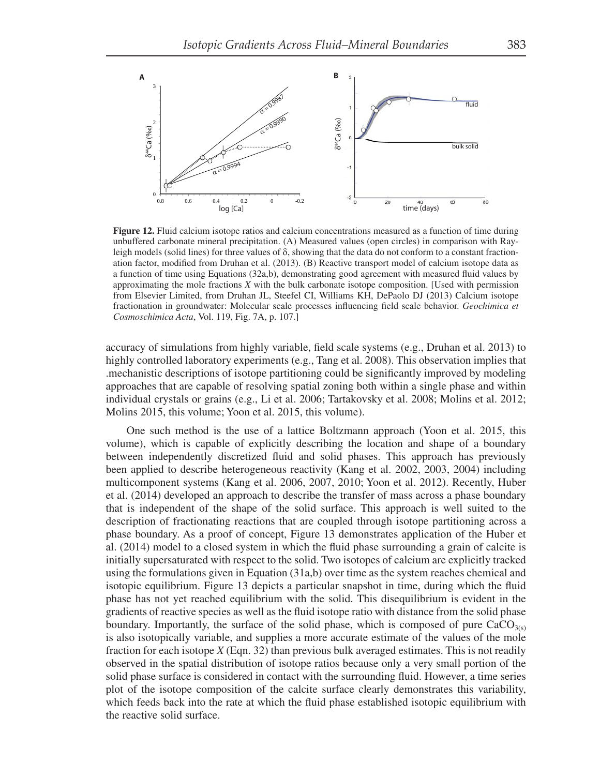

**Figure 12.** Fluid calcium isotope ratios and calcium concentrations measured as a function of time during unbuffered carbonate mineral precipitation. (A) Measured values (open circles) in comparison with Rayleigh models (solid lines) for three values of  $\delta$ , showing that the data do not conform to a constant fractionation factor, modified from Druhan et al. (2013). (B) Reactive transport model of calcium isotope data as a function of time using Equations (32a,b), demonstrating good agreement with measured fluid values by approximating the mole fractions *X* with the bulk carbonate isotope composition. [Used with permission from Elsevier Limited, from Druhan JL, Steefel CI, Williams KH, DePaolo DJ (2013) Calcium isotope fractionation in groundwater: Molecular scale processes influencing field scale behavior. *Geochimica et Cosmoschimica Acta*, Vol. 119, Fig. 7A, p. 107.]

accuracy of simulations from highly variable, field scale systems (e.g., Druhan et al. 2013) to highly controlled laboratory experiments (e.g., Tang et al. 2008). This observation implies that .mechanistic descriptions of isotope partitioning could be significantly improved by modeling approaches that are capable of resolving spatial zoning both within a single phase and within individual crystals or grains (e.g., Li et al. 2006; Tartakovsky et al. 2008; Molins et al. 2012; Molins 2015, this volume; Yoon et al. 2015, this volume).

One such method is the use of a lattice Boltzmann approach (Yoon et al. 2015, this volume), which is capable of explicitly describing the location and shape of a boundary between independently discretized fluid and solid phases. This approach has previously been applied to describe heterogeneous reactivity (Kang et al. 2002, 2003, 2004) including multicomponent systems (Kang et al. 2006, 2007, 2010; Yoon et al. 2012). Recently, Huber et al. (2014) developed an approach to describe the transfer of mass across a phase boundary that is independent of the shape of the solid surface. This approach is well suited to the description of fractionating reactions that are coupled through isotope partitioning across a phase boundary. As a proof of concept, Figure 13 demonstrates application of the Huber et al.  $(2014)$  model to a closed system in which the fluid phase surrounding a grain of calcite is initially supersaturated with respect to the solid. Two isotopes of calcium are explicitly tracked using the formulations given in Equation (31a,b) over time as the system reaches chemical and isotopic equilibrium. Figure 13 depicts a particular snapshot in time, during which the fluid phase has not yet reached equilibrium with the solid. This disequilibrium is evident in the gradients of reactive species as well as the fluid isotope ratio with distance from the solid phase boundary. Importantly, the surface of the solid phase, which is composed of pure  $CaCO<sub>3(s)</sub>$ is also isotopically variable, and supplies a more accurate estimate of the values of the mole fraction for each isotope *X* (Eqn. 32) than previous bulk averaged estimates. This is not readily observed in the spatial distribution of isotope ratios because only a very small portion of the solid phase surface is considered in contact with the surrounding fluid. However, a time series plot of the isotope composition of the calcite surface clearly demonstrates this variability, which feeds back into the rate at which the fluid phase established isotopic equilibrium with the reactive solid surface.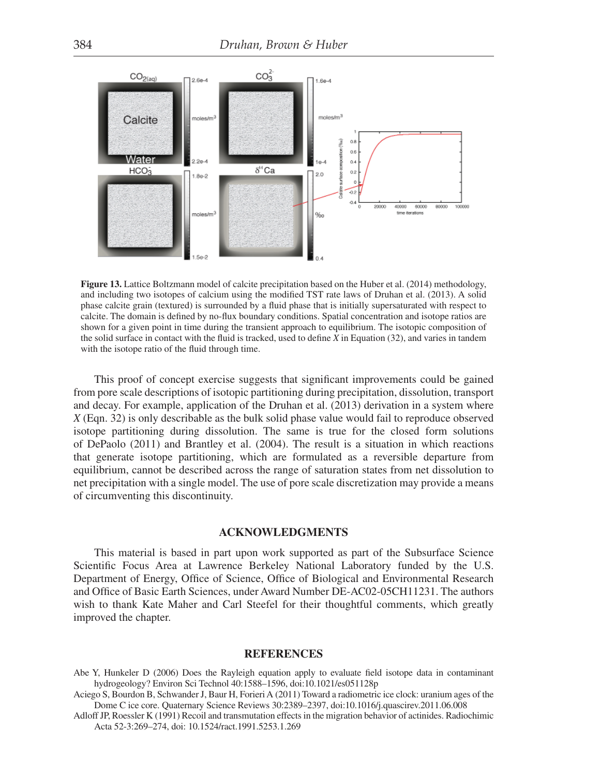

**Figure 13.** Lattice Boltzmann model of calcite precipitation based on the Huber et al. (2014) methodology, and including two isotopes of calcium using the modified TST rate laws of Druhan et al. (2013). A solid phase calcite grain (textured) is surrounded by a fluid phase that is initially supersaturated with respect to calcite. The domain is defined by no-flux boundary conditions. Spatial concentration and isotope ratios are shown for a given point in time during the transient approach to equilibrium. The isotopic composition of the solid surface in contact with the fluid is tracked, used to define  $X$  in Equation (32), and varies in tandem with the isotope ratio of the fluid through time.

This proof of concept exercise suggests that significant improvements could be gained from pore scale descriptions of isotopic partitioning during precipitation, dissolution, transport and decay. For example, application of the Druhan et al. (2013) derivation in a system where *X* (Eqn. 32) is only describable as the bulk solid phase value would fail to reproduce observed isotope partitioning during dissolution. The same is true for the closed form solutions of DePaolo (2011) and Brantley et al. (2004). The result is a situation in which reactions that generate isotope partitioning, which are formulated as a reversible departure from equilibrium, cannot be described across the range of saturation states from net dissolution to net precipitation with a single model. The use of pore scale discretization may provide a means of circumventing this discontinuity.

## **ACKNOWLEDGMENTS**

This material is based in part upon work supported as part of the Subsurface Science Scientific Focus Area at Lawrence Berkeley National Laboratory funded by the U.S. Department of Energy, Office of Science, Office of Biological and Environmental Research and Office of Basic Earth Sciences, under Award Number DE-AC02-05CH11231. The authors wish to thank Kate Maher and Carl Steefel for their thoughtful comments, which greatly improved the chapter.

#### **REFERENCES**

- Abe Y, Hunkeler  $D$  (2006) Does the Rayleigh equation apply to evaluate field isotope data in contaminant hydrogeology? Environ Sci Technol 40:1588–1596, doi:10.1021/es051128p
- Aciego S, Bourdon B, Schwander J, Baur H, Forieri A (2011) Toward a radiometric ice clock: uranium ages of the Dome C ice core. Quaternary Science Reviews 30:2389–2397, doi:10.1016/j.quascirev.2011.06.008
- Adloff JP, Roessler K (1991) Recoil and transmutation effects in the migration behavior of actinides. Radiochimic Acta 52-3:269–274, doi: 10.1524/ract.1991.5253.1.269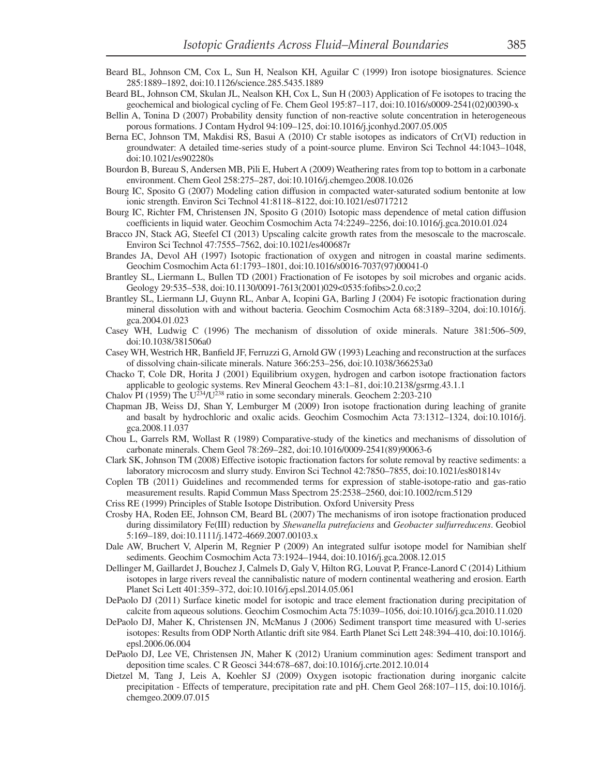- Beard BL, Johnson CM, Cox L, Sun H, Nealson KH, Aguilar C (1999) Iron isotope biosignatures. Science 285:1889–1892, doi:10.1126/science.285.5435.1889
- Beard BL, Johnson CM, Skulan JL, Nealson KH, Cox L, Sun H (2003) Application of Fe isotopes to tracing the geochemical and biological cycling of Fe. Chem Geol 195:87–117, doi:10.1016/s0009-2541(02)00390-x
- Bellin A, Tonina D (2007) Probability density function of non-reactive solute concentration in heterogeneous porous formations. J Contam Hydrol 94:109–125, doi:10.1016/j.jconhyd.2007.05.005
- Berna EC, Johnson TM, Makdisi RS, Basui A (2010) Cr stable isotopes as indicators of Cr(VI) reduction in groundwater: A detailed time-series study of a point-source plume. Environ Sci Technol 44:1043–1048, doi:10.1021/es902280s
- Bourdon B, Bureau S, Andersen MB, Pili E, Hubert A (2009) Weathering rates from top to bottom in a carbonate environment. Chem Geol 258:275–287, doi:10.1016/j.chemgeo.2008.10.026
- Bourg IC, Sposito G (2007) Modeling cation diffusion in compacted water-saturated sodium bentonite at low ionic strength. Environ Sci Technol 41:8118–8122, doi:10.1021/es0717212
- Bourg IC, Richter FM, Christensen JN, Sposito G (2010) Isotopic mass dependence of metal cation diffusion coefficients in liquid water. Geochim Cosmochim Acta 74:2249–2256, doi:10.1016/j.gca.2010.01.024
- Bracco JN, Stack AG, Steefel CI (2013) Upscaling calcite growth rates from the mesoscale to the macroscale. Environ Sci Technol 47:7555–7562, doi:10.1021/es400687r
- Brandes JA, Devol AH (1997) Isotopic fractionation of oxygen and nitrogen in coastal marine sediments. Geochim Cosmochim Acta 61:1793–1801, doi:10.1016/s0016-7037(97)00041-0
- Brantley SL, Liermann L, Bullen TD (2001) Fractionation of Fe isotopes by soil microbes and organic acids. Geology 29:535–538, doi:10.1130/0091-7613(2001)029<0535:fofibs>2.0.co;2
- Brantley SL, Liermann LJ, Guynn RL, Anbar A, Icopini GA, Barling J (2004) Fe isotopic fractionation during mineral dissolution with and without bacteria. Geochim Cosmochim Acta 68:3189–3204, doi:10.1016/j. gca.2004.01.023
- Casey WH, Ludwig C (1996) The mechanism of dissolution of oxide minerals. Nature 381:506–509, doi:10.1038/381506a0
- Casey WH, Westrich HR, Banfield JF, Ferruzzi G, Arnold GW (1993) Leaching and reconstruction at the surfaces of dissolving chain-silicate minerals. Nature 366:253–256, doi:10.1038/366253a0
- Chacko T, Cole DR, Horita J (2001) Equilibrium oxygen, hydrogen and carbon isotope fractionation factors applicable to geologic systems. Rev Mineral Geochem 43:1–81, doi:10.2138/gsrmg.43.1.1
- Chalov PI (1959) The  $U^{234}/U^{238}$  ratio in some secondary minerals. Geochem 2:203-210
- Chapman JB, Weiss DJ, Shan Y, Lemburger M (2009) Iron isotope fractionation during leaching of granite and basalt by hydrochloric and oxalic acids. Geochim Cosmochim Acta 73:1312–1324, doi:10.1016/j. gca.2008.11.037
- Chou L, Garrels RM, Wollast R (1989) Comparative-study of the kinetics and mechanisms of dissolution of carbonate minerals. Chem Geol 78:269–282, doi:10.1016/0009-2541(89)90063-6
- Clark SK, Johnson TM (2008) Effective isotopic fractionation factors for solute removal by reactive sediments: a laboratory microcosm and slurry study. Environ Sci Technol 42:7850–7855, doi:10.1021/es801814v
- Coplen TB (2011) Guidelines and recommended terms for expression of stable-isotope-ratio and gas-ratio measurement results. Rapid Commun Mass Spectrom 25:2538–2560, doi:10.1002/rcm.5129
- Criss RE (1999) Principles of Stable Isotope Distribution. Oxford University Press
- Crosby HA, Roden EE, Johnson CM, Beard BL (2007) The mechanisms of iron isotope fractionation produced during dissimilatory Fe(III) reduction by *Shewanella putrefaciens* and *Geobacter sulfurreducens*. Geobiol 5:169–189, doi:10.1111/j.1472-4669.2007.00103.x
- Dale AW, Bruchert V, Alperin M, Regnier P (2009) An integrated sulfur isotope model for Namibian shelf sediments. Geochim Cosmochim Acta 73:1924–1944, doi:10.1016/j.gca.2008.12.015
- Dellinger M, Gaillardet J, Bouchez J, Calmels D, Galy V, Hilton RG, Louvat P, France-Lanord C (2014) Lithium isotopes in large rivers reveal the cannibalistic nature of modern continental weathering and erosion. Earth Planet Sci Lett 401:359–372, doi:10.1016/j.epsl.2014.05.061
- DePaolo DJ (2011) Surface kinetic model for isotopic and trace element fractionation during precipitation of calcite from aqueous solutions. Geochim Cosmochim Acta 75:1039–1056, doi:10.1016/j.gca.2010.11.020
- DePaolo DJ, Maher K, Christensen JN, McManus J (2006) Sediment transport time measured with U-series isotopes: Results from ODP North Atlantic drift site 984. Earth Planet Sci Lett 248:394–410, doi:10.1016/j. epsl.2006.06.004
- DePaolo DJ, Lee VE, Christensen JN, Maher K (2012) Uranium comminution ages: Sediment transport and deposition time scales. C R Geosci 344:678–687, doi:10.1016/j.crte.2012.10.014
- Dietzel M, Tang J, Leis A, Koehler SJ (2009) Oxygen isotopic fractionation during inorganic calcite precipitation - Effects of temperature, precipitation rate and pH. Chem Geol 268:107–115, doi:10.1016/j. chemgeo.2009.07.015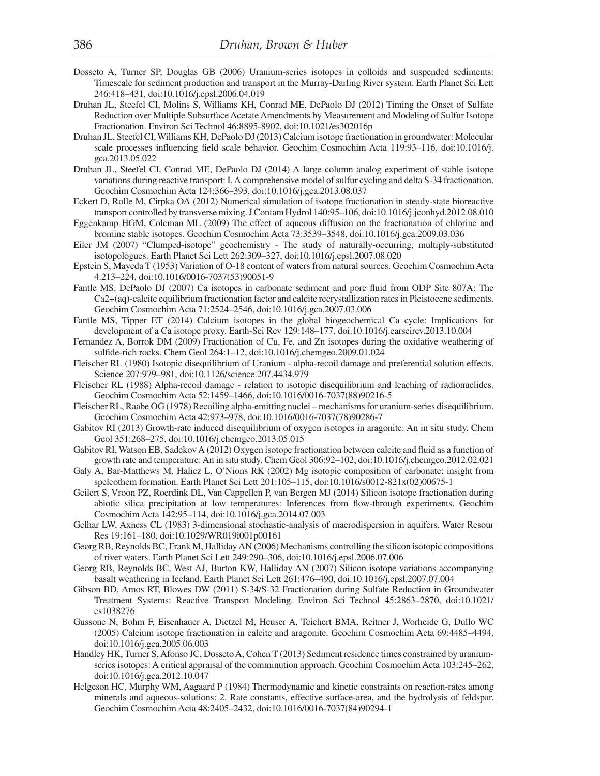- Dosseto A, Turner SP, Douglas GB (2006) Uranium-series isotopes in colloids and suspended sediments: Timescale for sediment production and transport in the Murray-Darling River system. Earth Planet Sci Lett 246:418–431, doi:10.1016/j.epsl.2006.04.019
- Druhan JL, Steefel CI, Molins S, Williams KH, Conrad ME, DePaolo DJ (2012) Timing the Onset of Sulfate Reduction over Multiple Subsurface Acetate Amendments by Measurement and Modeling of Sulfur Isotope Fractionation. Environ Sci Technol 46:8895-8902, doi:10.1021/es302016p
- Druhan JL, Steefel CI, Williams KH, DePaolo DJ (2013) Calcium isotope fractionation in groundwater: Molecular scale processes influencing field scale behavior. Geochim Cosmochim Acta 119:93–116, doi:10.1016/j. gca.2013.05.022
- Druhan JL, Steefel CI, Conrad ME, DePaolo DJ (2014) A large column analog experiment of stable isotope variations during reactive transport: I. A comprehensive model of sulfur cycling and delta S-34 fractionation. Geochim Cosmochim Acta 124:366–393, doi:10.1016/j.gca.2013.08.037
- Eckert D, Rolle M, Cirpka OA (2012) Numerical simulation of isotope fractionation in steady-state bioreactive transport controlled by transverse mixing. J Contam Hydrol 140:95–106, doi:10.1016/j.jconhyd.2012.08.010
- Eggenkamp HGM, Coleman ML (2009) The effect of aqueous diffusion on the fractionation of chlorine and bromine stable isotopes. Geochim Cosmochim Acta 73:3539–3548, doi:10.1016/j.gca.2009.03.036
- Eiler JM (2007) "Clumped-isotope" geochemistry The study of naturally-occurring, multiply-substituted isotopologues. Earth Planet Sci Lett 262:309–327, doi:10.1016/j.epsl.2007.08.020
- Epstein S, Mayeda T (1953) Variation of O-18 content of waters from natural sources. Geochim Cosmochim Acta 4:213–224, doi:10.1016/0016-7037(53)90051-9
- Fantle MS, DePaolo DJ (2007) Ca isotopes in carbonate sediment and pore fluid from ODP Site 807A: The Ca2+(aq)-calcite equilibrium fractionation factor and calcite recrystallization rates in Pleistocene sediments. Geochim Cosmochim Acta 71:2524–2546, doi:10.1016/j.gca.2007.03.006
- Fantle MS, Tipper ET (2014) Calcium isotopes in the global biogeochemical Ca cycle: Implications for development of a Ca isotope proxy. Earth-Sci Rev 129:148–177, doi:10.1016/j.earscirev.2013.10.004
- Fernandez A, Borrok DM (2009) Fractionation of Cu, Fe, and Zn isotopes during the oxidative weathering of sulfide-rich rocks. Chem Geol 264:1-12, doi:10.1016/j.chemgeo.2009.01.024
- Fleischer RL (1980) Isotopic disequilibrium of Uranium alpha-recoil damage and preferential solution effects. Science 207:979–981, doi:10.1126/science.207.4434.979
- Fleischer RL (1988) Alpha-recoil damage relation to isotopic disequilibrium and leaching of radionuclides. Geochim Cosmochim Acta 52:1459–1466, doi:10.1016/0016-7037(88)90216-5
- Fleischer RL, Raabe OG (1978) Recoiling alpha-emitting nuclei mechanisms for uranium-series disequilibrium. Geochim Cosmochim Acta 42:973–978, doi:10.1016/0016-7037(78)90286-7
- Gabitov RI (2013) Growth-rate induced disequilibrium of oxygen isotopes in aragonite: An in situ study. Chem Geol 351:268–275, doi:10.1016/j.chemgeo.2013.05.015
- Gabitov RI, Watson EB, Sadekov A (2012) Oxygen isotope fractionation between calcite and fluid as a function of growth rate and temperature: An in situ study. Chem Geol 306:92–102, doi:10.1016/j.chemgeo.2012.02.021
- Galy A, Bar-Matthews M, Halicz L, O'Nions RK (2002) Mg isotopic composition of carbonate: insight from speleothem formation. Earth Planet Sci Lett 201:105–115, doi:10.1016/s0012-821x(02)00675-1
- Geilert S, Vroon PZ, Roerdink DL, Van Cappellen P, van Bergen MJ (2014) Silicon isotope fractionation during abiotic silica precipitation at low temperatures: Inferences from flow-through experiments. Geochim Cosmochim Acta 142:95–114, doi:10.1016/j.gca.2014.07.003
- Gelhar LW, Axness CL (1983) 3-dimensional stochastic-analysis of macrodispersion in aquifers. Water Resour Res 19:161–180, doi:10.1029/WR019i001p00161
- Georg RB, Reynolds BC, Frank M, Halliday AN (2006) Mechanisms controlling the silicon isotopic compositions of river waters. Earth Planet Sci Lett 249:290–306, doi:10.1016/j.epsl.2006.07.006
- Georg RB, Reynolds BC, West AJ, Burton KW, Halliday AN (2007) Silicon isotope variations accompanying basalt weathering in Iceland. Earth Planet Sci Lett 261:476–490, doi:10.1016/j.epsl.2007.07.004
- Gibson BD, Amos RT, Blowes DW (2011) S-34/S-32 Fractionation during Sulfate Reduction in Groundwater Treatment Systems: Reactive Transport Modeling. Environ Sci Technol 45:2863–2870, doi:10.1021/ es1038276
- Gussone N, Bohm F, Eisenhauer A, Dietzel M, Heuser A, Teichert BMA, Reitner J, Worheide G, Dullo WC (2005) Calcium isotope fractionation in calcite and aragonite. Geochim Cosmochim Acta 69:4485–4494, doi:10.1016/j.gca.2005.06.003
- Handley HK, Turner S, Afonso JC, Dosseto A, Cohen T (2013) Sediment residence times constrained by uraniumseries isotopes: A critical appraisal of the comminution approach. Geochim Cosmochim Acta 103:245–262, doi:10.1016/j.gca.2012.10.047
- Helgeson HC, Murphy WM, Aagaard P (1984) Thermodynamic and kinetic constraints on reaction-rates among minerals and aqueous-solutions: 2. Rate constants, effective surface-area, and the hydrolysis of feldspar. Geochim Cosmochim Acta 48:2405–2432, doi:10.1016/0016-7037(84)90294-1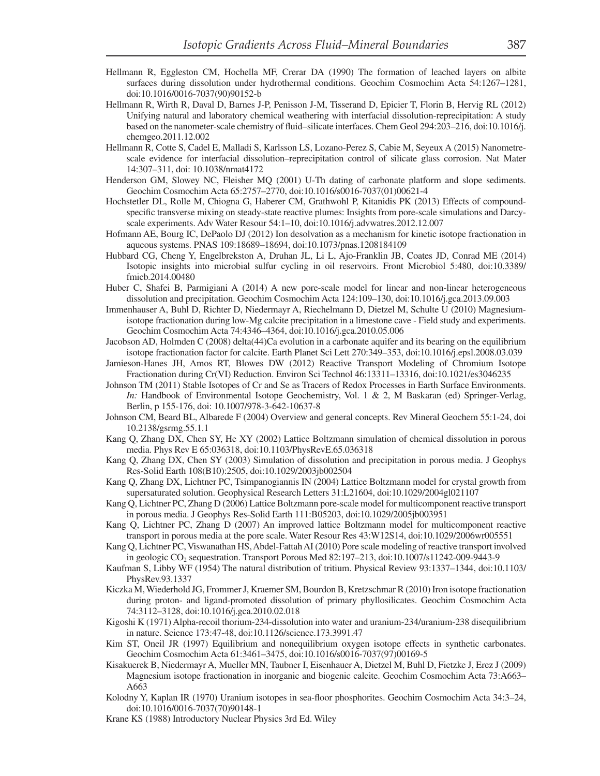- Hellmann R, Eggleston CM, Hochella MF, Crerar DA (1990) The formation of leached layers on albite surfaces during dissolution under hydrothermal conditions. Geochim Cosmochim Acta 54:1267–1281, doi:10.1016/0016-7037(90)90152-b
- Hellmann R, Wirth R, Daval D, Barnes J-P, Penisson J-M, Tisserand D, Epicier T, Florin B, Hervig RL (2012) Unifying natural and laboratory chemical weathering with interfacial dissolution-reprecipitation: A study based on the nanometer-scale chemistry of fluid–silicate interfaces. Chem Geol 294:203–216, doi:10.1016/j. chemgeo.2011.12.002
- Hellmann R, Cotte S, Cadel E, Malladi S, Karlsson LS, Lozano-Perez S, Cabie M, Seyeux A (2015) Nanometrescale evidence for interfacial dissolution–reprecipitation control of silicate glass corrosion. Nat Mater 14:307–311, doi: 10.1038/nmat4172
- Henderson GM, Slowey NC, Fleisher MQ (2001) U-Th dating of carbonate platform and slope sediments. Geochim Cosmochim Acta 65:2757–2770, doi:10.1016/s0016-7037(01)00621-4
- Hochstetler DL, Rolle M, Chiogna G, Haberer CM, Grathwohl P, Kitanidis PK (2013) Effects of compoundspecific transverse mixing on steady-state reactive plumes: Insights from pore-scale simulations and Darcyscale experiments. Adv Water Resour 54:1–10, doi:10.1016/j.advwatres.2012.12.007
- Hofmann AE, Bourg IC, DePaolo DJ (2012) Ion desolvation as a mechanism for kinetic isotope fractionation in aqueous systems. PNAS 109:18689–18694, doi:10.1073/pnas.1208184109
- Hubbard CG, Cheng Y, Engelbrekston A, Druhan JL, Li L, Ajo-Franklin JB, Coates JD, Conrad ME (2014) Isotopic insights into microbial sulfur cycling in oil reservoirs. Front Microbiol 5:480, doi:10.3389/ fmicb.2014.00480
- Huber C, Shafei B, Parmigiani A (2014) A new pore-scale model for linear and non-linear heterogeneous dissolution and precipitation. Geochim Cosmochim Acta 124:109–130, doi:10.1016/j.gca.2013.09.003
- Immenhauser A, Buhl D, Richter D, Niedermayr A, Riechelmann D, Dietzel M, Schulte U (2010) Magnesiumisotope fractionation during low-Mg calcite precipitation in a limestone cave - Field study and experiments. Geochim Cosmochim Acta 74:4346–4364, doi:10.1016/j.gca.2010.05.006
- Jacobson AD, Holmden C (2008) delta(44)Ca evolution in a carbonate aquifer and its bearing on the equilibrium isotope fractionation factor for calcite. Earth Planet Sci Lett 270:349–353, doi:10.1016/j.epsl.2008.03.039
- Jamieson-Hanes JH, Amos RT, Blowes DW (2012) Reactive Transport Modeling of Chromium Isotope Fractionation during Cr(VI) Reduction. Environ Sci Technol 46:13311–13316, doi:10.1021/es3046235
- Johnson TM (2011) Stable Isotopes of Cr and Se as Tracers of Redox Processes in Earth Surface Environments. *In:* Handbook of Environmental Isotope Geochemistry, Vol. 1 & 2, M Baskaran (ed) Springer-Verlag, Berlin, p 155-176, doi: 10.1007/978-3-642-10637-8
- Johnson CM, Beard BL, Albarede F (2004) Overview and general concepts. Rev Mineral Geochem 55:1-24, doi 10.2138/gsrmg.55.1.1
- Kang Q, Zhang DX, Chen SY, He XY (2002) Lattice Boltzmann simulation of chemical dissolution in porous media. Phys Rev E 65:036318, doi:10.1103/PhysRevE.65.036318
- Kang Q, Zhang DX, Chen SY (2003) Simulation of dissolution and precipitation in porous media. J Geophys Res-Solid Earth 108(B10):2505, doi:10.1029/2003jb002504
- Kang Q, Zhang DX, Lichtner PC, Tsimpanogiannis IN (2004) Lattice Boltzmann model for crystal growth from supersaturated solution. Geophysical Research Letters 31:L21604, doi:10.1029/2004gl021107
- Kang Q, Lichtner PC, Zhang D (2006) Lattice Boltzmann pore-scale model for multicomponent reactive transport in porous media. J Geophys Res-Solid Earth 111:B05203, doi:10.1029/2005jb003951
- Kang Q, Lichtner PC, Zhang D (2007) An improved lattice Boltzmann model for multicomponent reactive transport in porous media at the pore scale. Water Resour Res 43:W12S14, doi:10.1029/2006wr005551
- Kang Q, Lichtner PC, Viswanathan HS, Abdel-Fattah AI (2010) Pore scale modeling of reactive transport involved in geologic  $CO_2$  sequestration. Transport Porous Med 82:197–213, doi:10.1007/s11242-009-9443-9
- Kaufman S, Libby WF (1954) The natural distribution of tritium. Physical Review 93:1337–1344, doi:10.1103/ PhysRev.93.1337
- Kiczka M, Wiederhold JG, Frommer J, Kraemer SM, Bourdon B, Kretzschmar R (2010) Iron isotope fractionation during proton- and ligand-promoted dissolution of primary phyllosilicates. Geochim Cosmochim Acta 74:3112–3128, doi:10.1016/j.gca.2010.02.018
- Kigoshi K (1971) Alpha-recoil thorium-234-dissolution into water and uranium-234/uranium-238 disequilibrium in nature. Science 173:47-48, doi:10.1126/science.173.3991.47
- Kim ST, Oneil JR (1997) Equilibrium and nonequilibrium oxygen isotope effects in synthetic carbonates. Geochim Cosmochim Acta 61:3461–3475, doi:10.1016/s0016-7037(97)00169-5
- Kisakuerek B, Niedermayr A, Mueller MN, Taubner I, Eisenhauer A, Dietzel M, Buhl D, Fietzke J, Erez J (2009) Magnesium isotope fractionation in inorganic and biogenic calcite. Geochim Cosmochim Acta 73:A663– A663
- Kolodny Y, Kaplan IR (1970) Uranium isotopes in sea-floor phosphorites. Geochim Cosmochim Acta 34:3–24, doi:10.1016/0016-7037(70)90148-1
- Krane KS (1988) Introductory Nuclear Physics 3rd Ed. Wiley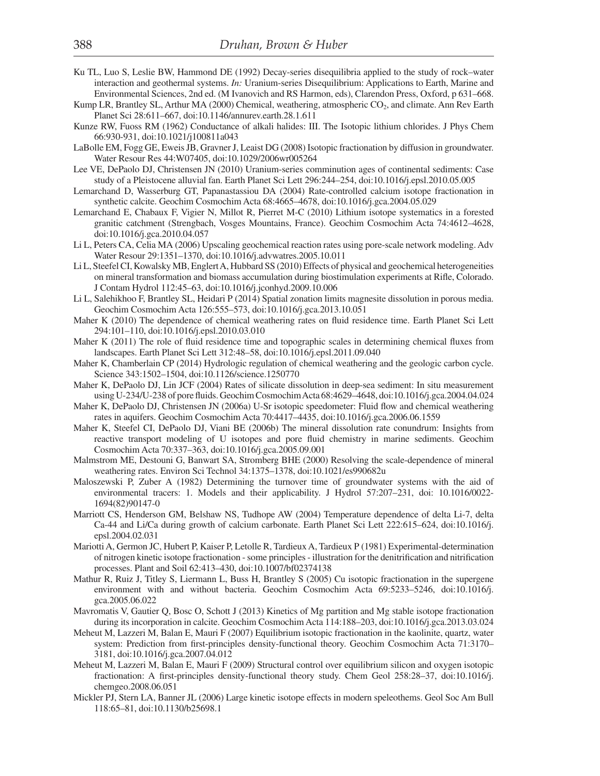- Ku TL, Luo S, Leslie BW, Hammond DE (1992) Decay-series disequilibria applied to the study of rock–water interaction and geothermal systems. *In:* Uranium-series Disequilibrium: Applications to Earth, Marine and Environmental Sciences, 2nd ed. (M Ivanovich and RS Harmon, eds), Clarendon Press, Oxford, p 631–668.
- Kump LR, Brantley SL, Arthur MA (2000) Chemical, weathering, atmospheric CO<sub>2</sub>, and climate. Ann Rev Earth Planet Sci 28:611–667, doi:10.1146/annurev.earth.28.1.611
- Kunze RW, Fuoss RM (1962) Conductance of alkali halides: III. The Isotopic lithium chlorides. J Phys Chem 66:930-931, doi:10.1021/j100811a043
- LaBolle EM, Fogg GE, Eweis JB, Gravner J, Leaist DG (2008) Isotopic fractionation by diffusion in groundwater. Water Resour Res 44:W07405, doi:10.1029/2006wr005264
- Lee VE, DePaolo DJ, Christensen JN (2010) Uranium-series comminution ages of continental sediments: Case study of a Pleistocene alluvial fan. Earth Planet Sci Lett 296:244–254, doi:10.1016/j.epsl.2010.05.005
- Lemarchand D, Wasserburg GT, Papanastassiou DA (2004) Rate-controlled calcium isotope fractionation in synthetic calcite. Geochim Cosmochim Acta 68:4665–4678, doi:10.1016/j.gca.2004.05.029
- Lemarchand E, Chabaux F, Vigier N, Millot R, Pierret M-C (2010) Lithium isotope systematics in a forested granitic catchment (Strengbach, Vosges Mountains, France). Geochim Cosmochim Acta 74:4612–4628, doi:10.1016/j.gca.2010.04.057
- Li L, Peters CA, Celia MA (2006) Upscaling geochemical reaction rates using pore-scale network modeling. Adv Water Resour 29:1351–1370, doi:10.1016/j.advwatres.2005.10.011
- Li L, Steefel CI, Kowalsky MB, Englert A, Hubbard SS (2010) Effects of physical and geochemical heterogeneities on mineral transformation and biomass accumulation during biostimulation experiments at Rifle, Colorado. J Contam Hydrol 112:45–63, doi:10.1016/j.jconhyd.2009.10.006
- Li L, Salehikhoo F, Brantley SL, Heidari P (2014) Spatial zonation limits magnesite dissolution in porous media. Geochim Cosmochim Acta 126:555–573, doi:10.1016/j.gca.2013.10.051
- Maher K (2010) The dependence of chemical weathering rates on fluid residence time. Earth Planet Sci Lett 294:101–110, doi:10.1016/j.epsl.2010.03.010
- Maher K  $(2011)$  The role of fluid residence time and topographic scales in determining chemical fluxes from landscapes. Earth Planet Sci Lett 312:48–58, doi:10.1016/j.epsl.2011.09.040
- Maher K, Chamberlain CP (2014) Hydrologic regulation of chemical weathering and the geologic carbon cycle. Science 343:1502–1504, doi:10.1126/science.1250770
- Maher K, DePaolo DJ, Lin JCF (2004) Rates of silicate dissolution in deep-sea sediment: In situ measurement using U-234/U-238 of pore fluids. Geochim Cosmochim Acta 68:4629-4648, doi:10.1016/j.gca.2004.04.024
- Maher K, DePaolo DJ, Christensen JN (2006a) U-Sr isotopic speedometer: Fluid flow and chemical weathering rates in aquifers. Geochim Cosmochim Acta 70:4417–4435, doi:10.1016/j.gca.2006.06.1559
- Maher K, Steefel CI, DePaolo DJ, Viani BE (2006b) The mineral dissolution rate conundrum: Insights from reactive transport modeling of U isotopes and pore fluid chemistry in marine sediments. Geochim Cosmochim Acta 70:337–363, doi:10.1016/j.gca.2005.09.001
- Malmstrom ME, Destouni G, Banwart SA, Stromberg BHE (2000) Resolving the scale-dependence of mineral weathering rates. Environ Sci Technol 34:1375–1378, doi:10.1021/es990682u
- Maloszewski P, Zuber A (1982) Determining the turnover time of groundwater systems with the aid of environmental tracers: 1. Models and their applicability. J Hydrol 57:207–231, doi: 10.1016/0022- 1694(82)90147-0
- Marriott CS, Henderson GM, Belshaw NS, Tudhope AW (2004) Temperature dependence of delta Li-7, delta Ca-44 and Li/Ca during growth of calcium carbonate. Earth Planet Sci Lett 222:615–624, doi:10.1016/j. epsl.2004.02.031
- Mariotti A, Germon JC, Hubert P, Kaiser P, Letolle R, Tardieux A, Tardieux P (1981) Experimental-determination of nitrogen kinetic isotope fractionation - some principles - illustration for the denitrification and nitrification processes. Plant and Soil 62:413–430, doi:10.1007/bf02374138
- Mathur R, Ruiz J, Titley S, Liermann L, Buss H, Brantley S (2005) Cu isotopic fractionation in the supergene environment with and without bacteria. Geochim Cosmochim Acta 69:5233–5246, doi:10.1016/j. gca.2005.06.022
- Mavromatis V, Gautier Q, Bosc O, Schott J (2013) Kinetics of Mg partition and Mg stable isotope fractionation during its incorporation in calcite. Geochim Cosmochim Acta 114:188–203, doi:10.1016/j.gca.2013.03.024
- Meheut M, Lazzeri M, Balan E, Mauri F (2007) Equilibrium isotopic fractionation in the kaolinite, quartz, water system: Prediction from first-principles density-functional theory. Geochim Cosmochim Acta 71:3170– 3181, doi:10.1016/j.gca.2007.04.012
- Meheut M, Lazzeri M, Balan E, Mauri F (2009) Structural control over equilibrium silicon and oxygen isotopic fractionation: A first-principles density-functional theory study. Chem Geol 258:28-37, doi:10.1016/j. chemgeo.2008.06.051
- Mickler PJ, Stern LA, Banner JL (2006) Large kinetic isotope effects in modern speleothems. Geol Soc Am Bull 118:65–81, doi:10.1130/b25698.1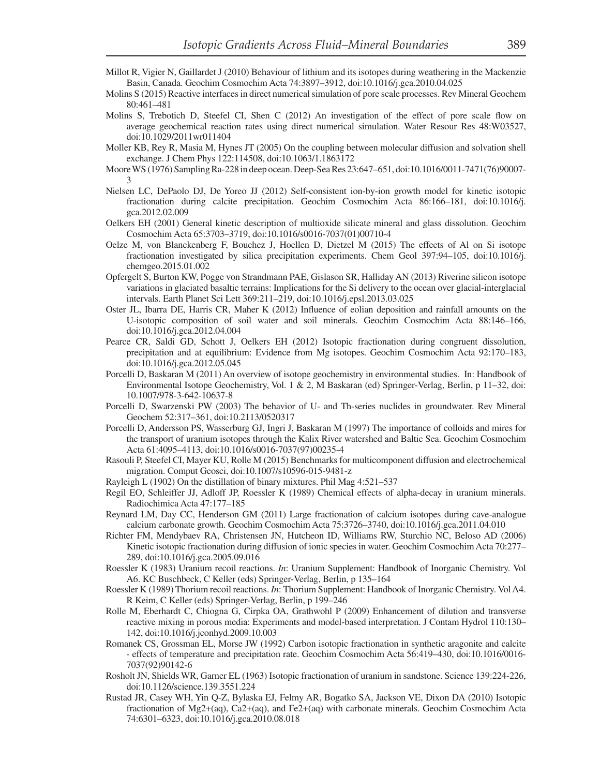- Millot R, Vigier N, Gaillardet J (2010) Behaviour of lithium and its isotopes during weathering in the Mackenzie Basin, Canada. Geochim Cosmochim Acta 74:3897–3912, doi:10.1016/j.gca.2010.04.025
- Molins S (2015) Reactive interfaces in direct numerical simulation of pore scale processes. Rev Mineral Geochem 80:461–481
- Molins S, Trebotich D, Steefel CI, Shen C (2012) An investigation of the effect of pore scale flow on average geochemical reaction rates using direct numerical simulation. Water Resour Res 48:W03527, doi:10.1029/2011wr011404
- Moller KB, Rey R, Masia M, Hynes JT (2005) On the coupling between molecular diffusion and solvation shell exchange. J Chem Phys 122:114508, doi:10.1063/1.1863172
- Moore WS (1976) Sampling Ra-228 in deep ocean. Deep-Sea Res 23:647–651, doi:10.1016/0011-7471(76)90007- 3
- Nielsen LC, DePaolo DJ, De Yoreo JJ (2012) Self-consistent ion-by-ion growth model for kinetic isotopic fractionation during calcite precipitation. Geochim Cosmochim Acta 86:166–181, doi:10.1016/j. gca.2012.02.009
- Oelkers EH (2001) General kinetic description of multioxide silicate mineral and glass dissolution. Geochim Cosmochim Acta 65:3703–3719, doi:10.1016/s0016-7037(01)00710-4
- Oelze M, von Blanckenberg F, Bouchez J, Hoellen D, Dietzel M (2015) The effects of Al on Si isotope fractionation investigated by silica precipitation experiments. Chem Geol 397:94–105, doi:10.1016/j. chemgeo.2015.01.002
- Opfergelt S, Burton KW, Pogge von Strandmann PAE, Gislason SR, Halliday AN (2013) Riverine silicon isotope variations in glaciated basaltic terrains: Implications for the Si delivery to the ocean over glacial-interglacial intervals. Earth Planet Sci Lett 369:211–219, doi:10.1016/j.epsl.2013.03.025
- Oster JL, Ibarra DE, Harris CR, Maher K (2012) Influence of eolian deposition and rainfall amounts on the U-isotopic composition of soil water and soil minerals. Geochim Cosmochim Acta 88:146–166, doi:10.1016/j.gca.2012.04.004
- Pearce CR, Saldi GD, Schott J, Oelkers EH (2012) Isotopic fractionation during congruent dissolution, precipitation and at equilibrium: Evidence from Mg isotopes. Geochim Cosmochim Acta 92:170–183, doi:10.1016/j.gca.2012.05.045
- Porcelli D, Baskaran M (2011) An overview of isotope geochemistry in environmental studies. In: Handbook of Environmental Isotope Geochemistry, Vol. 1 & 2, M Baskaran (ed) Springer-Verlag, Berlin, p 11–32, doi: 10.1007/978-3-642-10637-8
- Porcelli D, Swarzenski PW (2003) The behavior of U- and Th-series nuclides in groundwater. Rev Mineral Geochem 52:317–361, doi:10.2113/0520317
- Porcelli D, Andersson PS, Wasserburg GJ, Ingri J, Baskaran M (1997) The importance of colloids and mires for the transport of uranium isotopes through the Kalix River watershed and Baltic Sea. Geochim Cosmochim Acta 61:4095–4113, doi:10.1016/s0016-7037(97)00235-4
- Rasouli P, Steefel CI, Mayer KU, Rolle M (2015) Benchmarks for multicomponent diffusion and electrochemical migration. Comput Geosci, doi:10.1007/s10596-015-9481-z
- Rayleigh L (1902) On the distillation of binary mixtures. Phil Mag 4:521–537
- Regil EO, Schleiffer JJ, Adloff JP, Roessler K (1989) Chemical effects of alpha-decay in uranium minerals. Radiochimica Acta 47:177–185
- Reynard LM, Day CC, Henderson GM (2011) Large fractionation of calcium isotopes during cave-analogue calcium carbonate growth. Geochim Cosmochim Acta 75:3726–3740, doi:10.1016/j.gca.2011.04.010
- Richter FM, Mendybaev RA, Christensen JN, Hutcheon ID, Williams RW, Sturchio NC, Beloso AD (2006) Kinetic isotopic fractionation during diffusion of ionic species in water. Geochim Cosmochim Acta 70:277– 289, doi:10.1016/j.gca.2005.09.016
- Roessler K (1983) Uranium recoil reactions. *In*: Uranium Supplement: Handbook of Inorganic Chemistry. Vol A6. KC Buschbeck, C Keller (eds) Springer-Verlag, Berlin, p 135–164
- Roessler K (1989) Thorium recoil reactions. *In*: Thorium Supplement: Handbook of Inorganic Chemistry. Vol A4. R Keim, C Keller (eds) Springer-Verlag, Berlin, p 199–246
- Rolle M, Eberhardt C, Chiogna G, Cirpka OA, Grathwohl P (2009) Enhancement of dilution and transverse reactive mixing in porous media: Experiments and model-based interpretation. J Contam Hydrol 110:130– 142, doi:10.1016/j.jconhyd.2009.10.003
- Romanek CS, Grossman EL, Morse JW (1992) Carbon isotopic fractionation in synthetic aragonite and calcite - effects of temperature and precipitation rate. Geochim Cosmochim Acta 56:419–430, doi:10.1016/ 0016- 7037(92)90142-6
- Rosholt JN, Shields WR, Garner EL (1963) Isotopic fractionation of uranium in sandstone. Science 139:224-226, doi:10.1126/science.139.3551.224
- Rustad JR, Casey WH, Yin Q-Z, Bylaska EJ, Felmy AR, Bogatko SA, Jackson VE, Dixon DA (2010) Isotopic fractionation of Mg2+(aq), Ca2+(aq), and Fe2+(aq) with carbonate minerals. Geochim Cosmochim Acta 74:6301–6323, doi:10.1016/j.gca.2010.08.018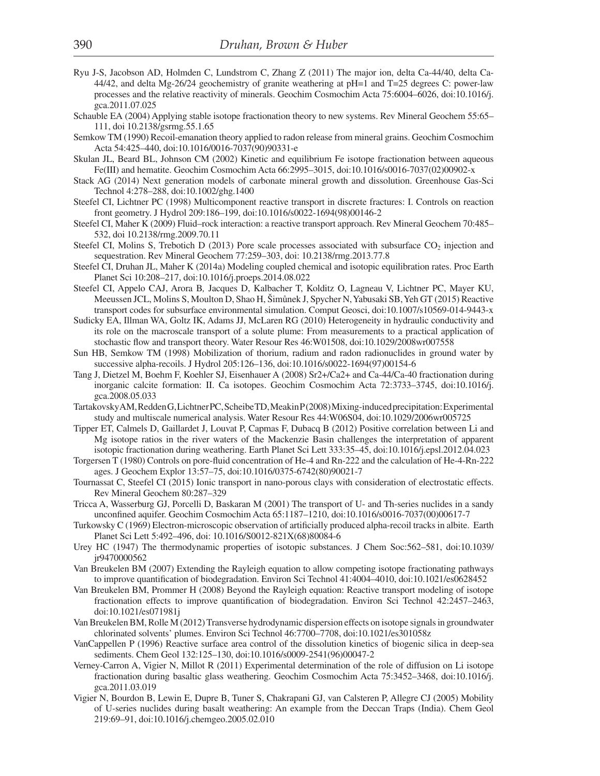- Ryu J-S, Jacobson AD, Holmden C, Lundstrom C, Zhang Z (2011) The major ion, delta Ca-44/40, delta Ca-44/42, and delta Mg-26/24 geochemistry of granite weathering at pH=1 and T=25 degrees C: power-law processes and the relative reactivity of minerals. Geochim Cosmochim Acta 75:6004–6026, doi:10.1016/j. gca.2011.07.025
- Schauble EA (2004) Applying stable isotope fractionation theory to new systems. Rev Mineral Geochem 55:65– 111, doi 10.2138/gsrmg.55.1.65
- Semkow TM (1990) Recoil-emanation theory applied to radon release from mineral grains. Geochim Cosmochim Acta 54:425–440, doi:10.1016/0016-7037(90)90331-e
- Skulan JL, Beard BL, Johnson CM (2002) Kinetic and equilibrium Fe isotope fractionation between aqueous Fe(III) and hematite. Geochim Cosmochim Acta 66:2995–3015, doi:10.1016/s0016-7037(02)00902-x
- Stack AG (2014) Next generation models of carbonate mineral growth and dissolution. Greenhouse Gas-Sci Technol 4:278–288, doi:10.1002/ghg.1400
- Steefel CI, Lichtner PC (1998) Multicomponent reactive transport in discrete fractures: I. Controls on reaction front geometry. J Hydrol 209:186–199, doi:10.1016/s0022-1694(98)00146-2
- Steefel CI, Maher K (2009) Fluid–rock interaction: a reactive transport approach. Rev Mineral Geochem 70:485– 532, doi 10.2138/rmg.2009.70.11
- Steefel CI, Molins S, Trebotich D (2013) Pore scale processes associated with subsurface  $CO<sub>2</sub>$  injection and sequestration. Rev Mineral Geochem 77:259–303, doi: 10.2138/rmg.2013.77.8
- Steefel CI, Druhan JL, Maher K (2014a) Modeling coupled chemical and isotopic equilibration rates. Proc Earth Planet Sci 10:208–217, doi:10.1016/j.proeps.2014.08.022
- Steefel CI, Appelo CAJ, Arora B*,* Jacques D, Kalbacher T, Kolditz O, Lagneau V, Lichtner PC, Mayer KU, Meeussen JCL, Molins S, Moulton D, Shao H, Šimůnek J, Spycher N, Yabusaki SB, Yeh GT (2015) Reactive transport codes for subsurface environmental simulation. Comput Geosci, doi:10.1007/s10569-014-9443-x
- Sudicky EA, Illman WA, Goltz IK, Adams JJ, McLaren RG (2010) Heterogeneity in hydraulic conductivity and its role on the macroscale transport of a solute plume: From measurements to a practical application of stochastic flow and transport theory. Water Resour Res 46:W01508, doi:10.1029/2008wr007558
- Sun HB, Semkow TM (1998) Mobilization of thorium, radium and radon radionuclides in ground water by successive alpha-recoils. J Hydrol 205:126–136, doi:10.1016/s0022-1694(97)00154-6
- Tang J, Dietzel M, Boehm F, Koehler SJ, Eisenhauer A (2008) Sr2+/Ca2+ and Ca-44/Ca-40 fractionation during inorganic calcite formation: II. Ca isotopes. Geochim Cosmochim Acta 72:3733–3745, doi:10.1016/j. gca.2008.05.033
- Tartakovsky AM, Redden G, Lichtner PC, Scheibe TD, Meakin P (2008) Mixing-induced precipitation: Experimental study and multiscale numerical analysis. Water Resour Res 44:W06S04, doi:10.1029/2006wr005725
- Tipper ET, Calmels D, Gaillardet J, Louvat P, Capmas F, Dubacq B (2012) Positive correlation between Li and Mg isotope ratios in the river waters of the Mackenzie Basin challenges the interpretation of apparent isotopic fractionation during weathering. Earth Planet Sci Lett 333:35–45, doi:10.1016/j.epsl.2012.04.023
- Torgersen T (1980) Controls on pore-fluid concentration of He-4 and Rn-222 and the calculation of He-4-Rn-222 ages. J Geochem Explor 13:57–75, doi:10.1016/0375-6742(80)90021-7
- Tournassat C, Steefel CI (2015) Ionic transport in nano-porous clays with consideration of electrostatic effects. Rev Mineral Geochem 80:287–329
- Tricca A, Wasserburg GJ, Porcelli D, Baskaran M (2001) The transport of U- and Th-series nuclides in a sandy unconfined aquifer. Geochim Cosmochim Acta 65:1187–1210, doi:10.1016/s0016-7037(00)00617-7
- Turkowsky C (1969) Electron-microscopic observation of artificially produced alpha-recoil tracks in albite. Earth Planet Sci Lett 5:492–496, doi: 10.1016/S0012-821X(68)80084-6
- Urey HC (1947) The thermodynamic properties of isotopic substances. J Chem Soc:562–581, doi:10.1039/ jr9470000562
- Van Breukelen BM (2007) Extending the Rayleigh equation to allow competing isotope fractionating pathways to improve quantification of biodegradation. Environ Sci Technol 41:4004–4010, doi:10.1021/es0628452
- Van Breukelen BM, Prommer H (2008) Beyond the Rayleigh equation: Reactive transport modeling of isotope fractionation effects to improve quantification of biodegradation. Environ Sci Technol 42:2457-2463, doi:10.1021/es071981j
- Van Breukelen BM, Rolle M (2012) Transverse hydrodynamic dispersion effects on isotope signals in groundwater chlorinated solvents' plumes. Environ Sci Technol 46:7700–7708, doi:10.1021/es301058z
- VanCappellen P (1996) Reactive surface area control of the dissolution kinetics of biogenic silica in deep-sea sediments. Chem Geol 132:125–130, doi:10.1016/s0009-2541(96)00047-2
- Verney-Carron A, Vigier N, Millot R (2011) Experimental determination of the role of diffusion on Li isotope fractionation during basaltic glass weathering. Geochim Cosmochim Acta 75:3452–3468, doi:10.1016/j. gca.2011.03.019
- Vigier N, Bourdon B, Lewin E, Dupre B, Tuner S, Chakrapani GJ, van Calsteren P, Allegre CJ (2005) Mobility of U-series nuclides during basalt weathering: An example from the Deccan Traps (India). Chem Geol 219:69–91, doi:10.1016/j.chemgeo.2005.02.010